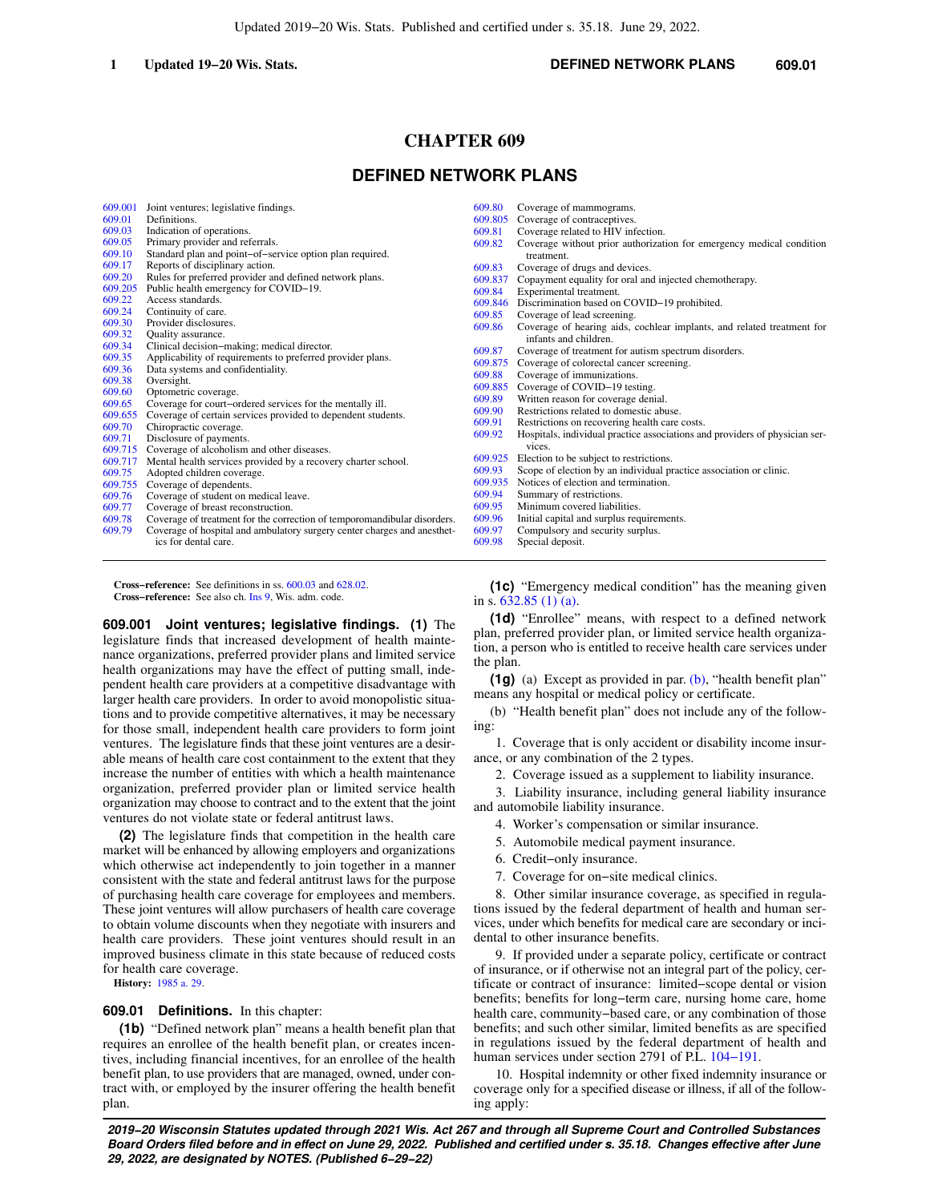# **CHAPTER 609**

# **DEFINED NETWORK PLANS**

| 609.001           | Joint ventures; legislative findings.                                                  | 609.80  | Coverage of mammograms.                                                     |
|-------------------|----------------------------------------------------------------------------------------|---------|-----------------------------------------------------------------------------|
| 609.01            | Definitions.                                                                           | 609.805 | Coverage of contraceptives.                                                 |
| 609.03            | Indication of operations.                                                              | 609.81  | Coverage related to HIV infection.                                          |
| 609.05            | Primary provider and referrals.                                                        | 609.82  | Coverage without prior authorization for emergency medical condition        |
| 609.10            | Standard plan and point-of-service option plan required.                               |         | treatment.                                                                  |
| 609.17            | Reports of disciplinary action.                                                        | 609.83  | Coverage of drugs and devices.                                              |
| 609.20            | Rules for preferred provider and defined network plans.                                | 609.837 | Copayment equality for oral and injected chemotherapy.                      |
| 609.205           | Public health emergency for COVID-19.                                                  | 609.84  | Experimental treatment.                                                     |
| 609.22            | Access standards.                                                                      | 609.846 | Discrimination based on COVID-19 prohibited.                                |
| 609.24            | Continuity of care.                                                                    | 609.85  | Coverage of lead screening.                                                 |
| 609.30            | Provider disclosures.                                                                  | 609.86  | Coverage of hearing aids, cochlear implants, and related treatment for      |
| 609.32            | <b>Ouality</b> assurance.                                                              |         | infants and children.                                                       |
| 609.34            | Clinical decision-making; medical director.                                            | 609.87  | Coverage of treatment for autism spectrum disorders.                        |
| 609.35            | Applicability of requirements to preferred provider plans.                             | 609.875 | Coverage of colorectal cancer screening.                                    |
| 609.36            | Data systems and confidentiality.                                                      | 609.88  | Coverage of immunizations.                                                  |
| 609.38<br>609.60  | Oversight.                                                                             | 609.885 | Coverage of COVID-19 testing.                                               |
|                   | Optometric coverage.                                                                   | 609.89  | Written reason for coverage denial.                                         |
| 609.65<br>609.655 | Coverage for court-ordered services for the mentally ill.                              | 609.90  | Restrictions related to domestic abuse.                                     |
| 609.70            | Coverage of certain services provided to dependent students.<br>Chiropractic coverage. | 609.91  | Restrictions on recovering health care costs.                               |
| 609.71            | Disclosure of payments.                                                                | 609.92  | Hospitals, individual practice associations and providers of physician ser- |
| 609.715           | Coverage of alcoholism and other diseases.                                             |         | vices.                                                                      |
| 609.717           | Mental health services provided by a recovery charter school.                          | 609.925 | Election to be subject to restrictions.                                     |
| 609.75            | Adopted children coverage.                                                             | 609.93  | Scope of election by an individual practice association or clinic.          |
| 609.755           | Coverage of dependents.                                                                | 609.935 | Notices of election and termination.                                        |
| 609.76            | Coverage of student on medical leave.                                                  | 609.94  | Summary of restrictions.                                                    |
| 609.77            | Coverage of breast reconstruction.                                                     | 609.95  | Minimum covered liabilities.                                                |
| 609.78            | Coverage of treatment for the correction of temporomandibular disorders.               | 609.96  | Initial capital and surplus requirements.                                   |
| 609.79            | Coverage of hospital and ambulatory surgery center charges and anesthet-               | 609.97  | Compulsory and security surplus.                                            |
|                   | ics for dental care.                                                                   | 609.98  | Special deposit.                                                            |
|                   |                                                                                        |         |                                                                             |

**Cross−reference:** See definitions in ss. [600.03](https://docs.legis.wisconsin.gov/document/statutes/600.03) and [628.02](https://docs.legis.wisconsin.gov/document/statutes/628.02). **Cross−reference:** See also ch. [Ins 9,](https://docs.legis.wisconsin.gov/document/administrativecode/ch.%20Ins%209) Wis. adm. code.

**609.001 Joint ventures; legislative findings. (1)** The legislature finds that increased development of health maintenance organizations, preferred provider plans and limited service health organizations may have the effect of putting small, independent health care providers at a competitive disadvantage with larger health care providers. In order to avoid monopolistic situations and to provide competitive alternatives, it may be necessary for those small, independent health care providers to form joint ventures. The legislature finds that these joint ventures are a desirable means of health care cost containment to the extent that they increase the number of entities with which a health maintenance organization, preferred provider plan or limited service health organization may choose to contract and to the extent that the joint ventures do not violate state or federal antitrust laws.

**(2)** The legislature finds that competition in the health care market will be enhanced by allowing employers and organizations which otherwise act independently to join together in a manner consistent with the state and federal antitrust laws for the purpose of purchasing health care coverage for employees and members. These joint ventures will allow purchasers of health care coverage to obtain volume discounts when they negotiate with insurers and health care providers. These joint ventures should result in an improved business climate in this state because of reduced costs for health care coverage.

**History:** [1985 a. 29.](https://docs.legis.wisconsin.gov/document/acts/1985/29)

#### **609.01 Definitions.** In this chapter:

**(1b)** "Defined network plan" means a health benefit plan that requires an enrollee of the health benefit plan, or creates incentives, including financial incentives, for an enrollee of the health benefit plan, to use providers that are managed, owned, under contract with, or employed by the insurer offering the health benefit plan.

**(1c)** "Emergency medical condition" has the meaning given in s. [632.85 \(1\) \(a\)](https://docs.legis.wisconsin.gov/document/statutes/632.85(1)(a)).

**(1d)** "Enrollee" means, with respect to a defined network plan, preferred provider plan, or limited service health organization, a person who is entitled to receive health care services under the plan.

**(1g)** (a) Except as provided in par. [\(b\),](https://docs.legis.wisconsin.gov/document/statutes/609.01(1g)(b)) "health benefit plan" means any hospital or medical policy or certificate.

(b) "Health benefit plan" does not include any of the following:

1. Coverage that is only accident or disability income insurance, or any combination of the 2 types.

2. Coverage issued as a supplement to liability insurance.

3. Liability insurance, including general liability insurance and automobile liability insurance.

- 4. Worker's compensation or similar insurance.
- 5. Automobile medical payment insurance.
- 6. Credit−only insurance.
- 7. Coverage for on−site medical clinics.

8. Other similar insurance coverage, as specified in regulations issued by the federal department of health and human services, under which benefits for medical care are secondary or incidental to other insurance benefits.

9. If provided under a separate policy, certificate or contract of insurance, or if otherwise not an integral part of the policy, certificate or contract of insurance: limited−scope dental or vision benefits; benefits for long−term care, nursing home care, home health care, community−based care, or any combination of those benefits; and such other similar, limited benefits as are specified in regulations issued by the federal department of health and human services under section 2791 of P.L. [104−191](https://docs.legis.wisconsin.gov/document/publiclaw/104-191).

10. Hospital indemnity or other fixed indemnity insurance or coverage only for a specified disease or illness, if all of the following apply: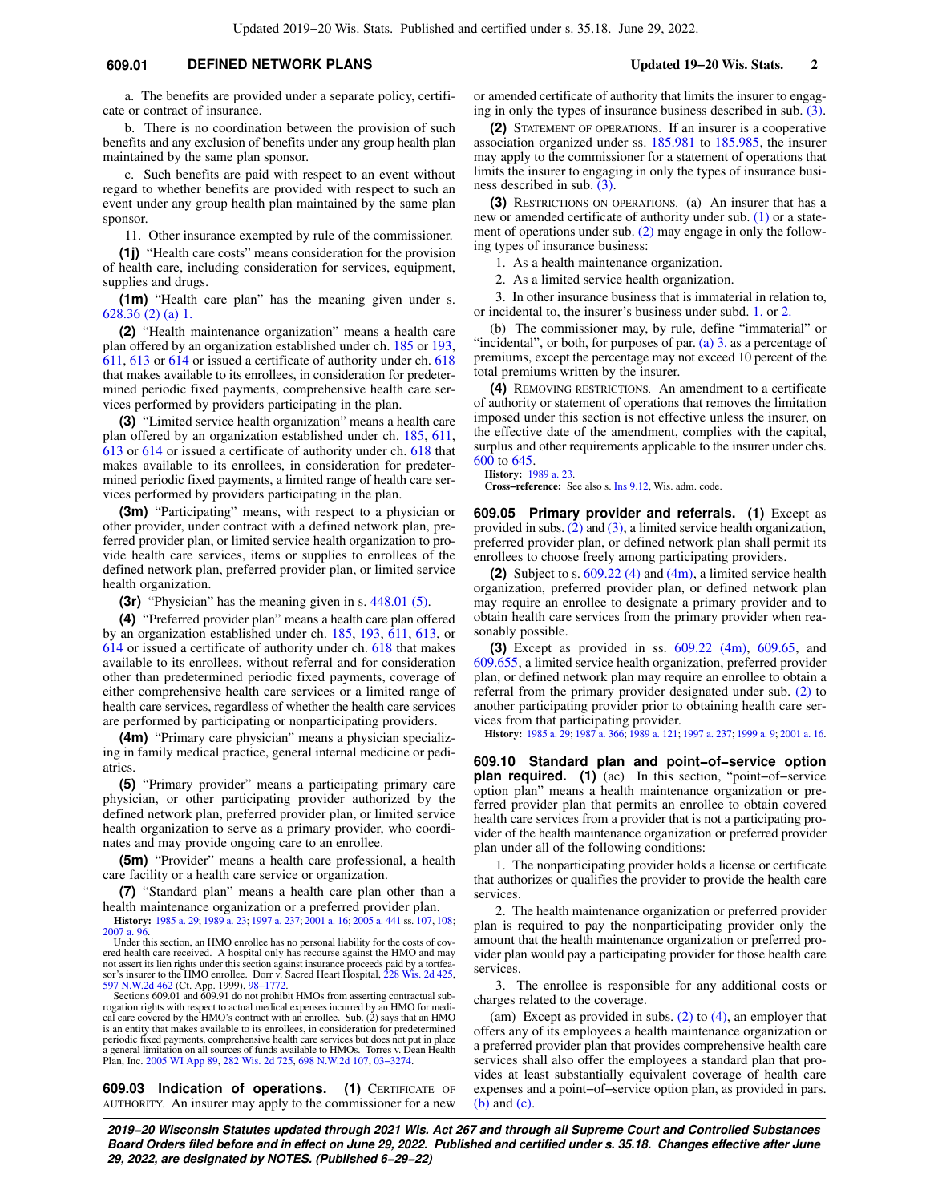## **609.01 DEFINED NETWORK PLANS Updated 19−20 Wis. Stats. 2**

a. The benefits are provided under a separate policy, certificate or contract of insurance.

b. There is no coordination between the provision of such benefits and any exclusion of benefits under any group health plan maintained by the same plan sponsor.

c. Such benefits are paid with respect to an event without regard to whether benefits are provided with respect to such an event under any group health plan maintained by the same plan sponsor.

11. Other insurance exempted by rule of the commissioner.

**(1j)** "Health care costs" means consideration for the provision of health care, including consideration for services, equipment, supplies and drugs.

**(1m)** "Health care plan" has the meaning given under s. [628.36 \(2\) \(a\) 1.](https://docs.legis.wisconsin.gov/document/statutes/628.36(2)(a)1.)

**(2)** "Health maintenance organization" means a health care plan offered by an organization established under ch. [185](https://docs.legis.wisconsin.gov/document/statutes/ch.%20185) or [193,](https://docs.legis.wisconsin.gov/document/statutes/ch.%20193) [611](https://docs.legis.wisconsin.gov/document/statutes/ch.%20611), [613](https://docs.legis.wisconsin.gov/document/statutes/ch.%20613) or [614](https://docs.legis.wisconsin.gov/document/statutes/ch.%20614) or issued a certificate of authority under ch. [618](https://docs.legis.wisconsin.gov/document/statutes/ch.%20618) that makes available to its enrollees, in consideration for predetermined periodic fixed payments, comprehensive health care services performed by providers participating in the plan.

**(3)** "Limited service health organization" means a health care plan offered by an organization established under ch. [185](https://docs.legis.wisconsin.gov/document/statutes/ch.%20185), [611,](https://docs.legis.wisconsin.gov/document/statutes/ch.%20611) [613](https://docs.legis.wisconsin.gov/document/statutes/ch.%20613) or [614](https://docs.legis.wisconsin.gov/document/statutes/ch.%20614) or issued a certificate of authority under ch. [618](https://docs.legis.wisconsin.gov/document/statutes/ch.%20618) that makes available to its enrollees, in consideration for predetermined periodic fixed payments, a limited range of health care services performed by providers participating in the plan.

**(3m)** "Participating" means, with respect to a physician or other provider, under contract with a defined network plan, preferred provider plan, or limited service health organization to provide health care services, items or supplies to enrollees of the defined network plan, preferred provider plan, or limited service health organization.

**(3r)** "Physician" has the meaning given in s. [448.01 \(5\).](https://docs.legis.wisconsin.gov/document/statutes/448.01(5))

**(4)** "Preferred provider plan" means a health care plan offered by an organization established under ch. [185](https://docs.legis.wisconsin.gov/document/statutes/ch.%20185), [193,](https://docs.legis.wisconsin.gov/document/statutes/ch.%20193) [611,](https://docs.legis.wisconsin.gov/document/statutes/ch.%20611) [613](https://docs.legis.wisconsin.gov/document/statutes/ch.%20613), or [614](https://docs.legis.wisconsin.gov/document/statutes/ch.%20614) or issued a certificate of authority under ch. [618](https://docs.legis.wisconsin.gov/document/statutes/ch.%20618) that makes available to its enrollees, without referral and for consideration other than predetermined periodic fixed payments, coverage of either comprehensive health care services or a limited range of health care services, regardless of whether the health care services are performed by participating or nonparticipating providers.

**(4m)** "Primary care physician" means a physician specializing in family medical practice, general internal medicine or pediatrics.

**(5)** "Primary provider" means a participating primary care physician, or other participating provider authorized by the defined network plan, preferred provider plan, or limited service health organization to serve as a primary provider, who coordinates and may provide ongoing care to an enrollee.

**(5m)** "Provider" means a health care professional, a health care facility or a health care service or organization.

**(7)** "Standard plan" means a health care plan other than a health maintenance organization or a preferred provider plan.

**History:** [1985 a. 29;](https://docs.legis.wisconsin.gov/document/acts/1985/29) [1989 a. 23](https://docs.legis.wisconsin.gov/document/acts/1989/23); [1997 a. 237;](https://docs.legis.wisconsin.gov/document/acts/1997/237) [2001 a. 16](https://docs.legis.wisconsin.gov/document/acts/2001/16); [2005 a. 441](https://docs.legis.wisconsin.gov/document/acts/2005/441) ss. [107,](https://docs.legis.wisconsin.gov/document/acts/2005/441,%20s.%20107) [108](https://docs.legis.wisconsin.gov/document/acts/2005/441,%20s.%20108); [2007 a. 96](https://docs.legis.wisconsin.gov/document/acts/2007/96). Under this section, an HMO enrollee has no personal liability for the costs of cov-

ered health care received. A hospital only has recourse against the HMO and may not assert its lien rights under this section against insurance proceeds paid by a tortfea-sor's insurer to the HMO enrollee. Dorr v. Sacred Heart Hospital, [228 Wis. 2d 425](https://docs.legis.wisconsin.gov/document/courts/228%20Wis.%202d%20425), [597 N.W.2d 462](https://docs.legis.wisconsin.gov/document/courts/597%20N.W.2d%20462) (Ct. App. 1999), [98−1772](https://docs.legis.wisconsin.gov/document/wicourtofappeals/98-1772).

Sections 609.01 and 609.91 do not prohibit HMOs from asserting contractual subrogation rights with respect to actual medical expenses incurred by an HMO for medi-cal care covered by the HMO's contract with an enrollee. Sub. (2) says that an HMO is an entity that makes available to its enrollees, in consideration for predetermined periodic fixed payments, comprehensive health care services but does not put in place a general limitation on all sources of funds available to HMOs. Torres v. Dean Health Plan, Inc. [2005 WI App 89](https://docs.legis.wisconsin.gov/document/courts/2005%20WI%20App%2089), [282 Wis. 2d 725](https://docs.legis.wisconsin.gov/document/courts/282%20Wis.%202d%20725), [698 N.W.2d 107,](https://docs.legis.wisconsin.gov/document/courts/698%20N.W.2d%20107) [03−3274.](https://docs.legis.wisconsin.gov/document/wicourtofappeals/03-3274)

**609.03 Indication of operations. (1)** CERTIFICATE OF AUTHORITY. An insurer may apply to the commissioner for a new or amended certificate of authority that limits the insurer to engaging in only the types of insurance business described in sub. [\(3\).](https://docs.legis.wisconsin.gov/document/statutes/609.03(3))

**(2)** STATEMENT OF OPERATIONS. If an insurer is a cooperative association organized under ss. [185.981](https://docs.legis.wisconsin.gov/document/statutes/185.981) to [185.985](https://docs.legis.wisconsin.gov/document/statutes/185.985), the insurer may apply to the commissioner for a statement of operations that limits the insurer to engaging in only the types of insurance business described in sub. [\(3\).](https://docs.legis.wisconsin.gov/document/statutes/609.03(3))

**(3)** RESTRICTIONS ON OPERATIONS. (a) An insurer that has a new or amended certificate of authority under sub. [\(1\)](https://docs.legis.wisconsin.gov/document/statutes/609.03(1)) or a statement of operations under sub. [\(2\)](https://docs.legis.wisconsin.gov/document/statutes/609.03(2)) may engage in only the following types of insurance business:

1. As a health maintenance organization.

2. As a limited service health organization.

3. In other insurance business that is immaterial in relation to, or incidental to, the insurer's business under subd. [1.](https://docs.legis.wisconsin.gov/document/statutes/609.03(3)(a)1.) or [2.](https://docs.legis.wisconsin.gov/document/statutes/609.03(3)(a)2.)

(b) The commissioner may, by rule, define "immaterial" or "incidental", or both, for purposes of par. [\(a\) 3.](https://docs.legis.wisconsin.gov/document/statutes/609.03(3)(a)3.) as a percentage of premiums, except the percentage may not exceed 10 percent of the total premiums written by the insurer.

**(4)** REMOVING RESTRICTIONS. An amendment to a certificate of authority or statement of operations that removes the limitation imposed under this section is not effective unless the insurer, on the effective date of the amendment, complies with the capital, surplus and other requirements applicable to the insurer under chs. [600](https://docs.legis.wisconsin.gov/document/statutes/ch.%20600) to [645.](https://docs.legis.wisconsin.gov/document/statutes/ch.%20645)

**History:** [1989 a. 23](https://docs.legis.wisconsin.gov/document/acts/1989/23).

**Cross−reference:** See also s. [Ins 9.12](https://docs.legis.wisconsin.gov/document/administrativecode/Ins%209.12), Wis. adm. code.

**609.05 Primary provider and referrals. (1)** Except as provided in subs. [\(2\)](https://docs.legis.wisconsin.gov/document/statutes/609.05(2)) and [\(3\),](https://docs.legis.wisconsin.gov/document/statutes/609.05(3)) a limited service health organization, preferred provider plan, or defined network plan shall permit its enrollees to choose freely among participating providers.

**(2)** Subject to s. [609.22 \(4\)](https://docs.legis.wisconsin.gov/document/statutes/609.22(4)) and [\(4m\),](https://docs.legis.wisconsin.gov/document/statutes/609.22(4m)) a limited service health organization, preferred provider plan, or defined network plan may require an enrollee to designate a primary provider and to obtain health care services from the primary provider when reasonably possible.

**(3)** Except as provided in ss. [609.22 \(4m\),](https://docs.legis.wisconsin.gov/document/statutes/609.22(4m)) [609.65,](https://docs.legis.wisconsin.gov/document/statutes/609.65) and [609.655](https://docs.legis.wisconsin.gov/document/statutes/609.655), a limited service health organization, preferred provider plan, or defined network plan may require an enrollee to obtain a referral from the primary provider designated under sub. [\(2\)](https://docs.legis.wisconsin.gov/document/statutes/609.05(2)) to another participating provider prior to obtaining health care services from that participating provider.

**History:** [1985 a. 29](https://docs.legis.wisconsin.gov/document/acts/1985/29); [1987 a. 366;](https://docs.legis.wisconsin.gov/document/acts/1987/366) [1989 a. 121](https://docs.legis.wisconsin.gov/document/acts/1989/121); [1997 a. 237;](https://docs.legis.wisconsin.gov/document/acts/1997/237) [1999 a. 9](https://docs.legis.wisconsin.gov/document/acts/1999/9); [2001 a. 16](https://docs.legis.wisconsin.gov/document/acts/2001/16).

**609.10 Standard plan and point−of−service option plan required. (1)** (ac) In this section, "point−of−service option plan" means a health maintenance organization or preferred provider plan that permits an enrollee to obtain covered health care services from a provider that is not a participating provider of the health maintenance organization or preferred provider plan under all of the following conditions:

1. The nonparticipating provider holds a license or certificate that authorizes or qualifies the provider to provide the health care services.

2. The health maintenance organization or preferred provider plan is required to pay the nonparticipating provider only the amount that the health maintenance organization or preferred provider plan would pay a participating provider for those health care services.

3. The enrollee is responsible for any additional costs or charges related to the coverage.

(am) Except as provided in subs.  $(2)$  to  $(4)$ , an employer that offers any of its employees a health maintenance organization or a preferred provider plan that provides comprehensive health care services shall also offer the employees a standard plan that provides at least substantially equivalent coverage of health care expenses and a point−of−service option plan, as provided in pars. [\(b\)](https://docs.legis.wisconsin.gov/document/statutes/609.10(1)(b)) and [\(c\)](https://docs.legis.wisconsin.gov/document/statutes/609.10(1)(c)).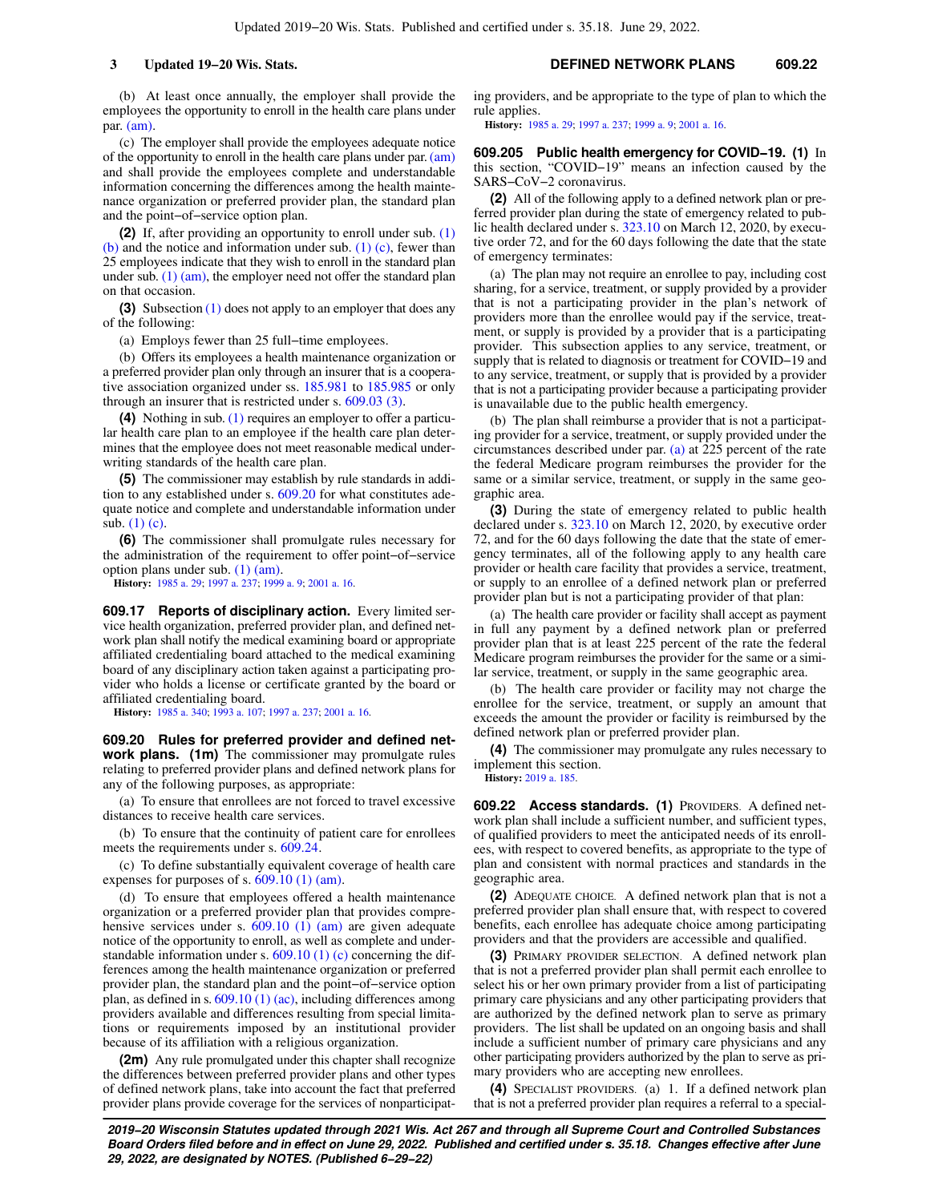(b) At least once annually, the employer shall provide the employees the opportunity to enroll in the health care plans under par. [\(am\)](https://docs.legis.wisconsin.gov/document/statutes/609.10(1)(am)).

(c) The employer shall provide the employees adequate notice of the opportunity to enroll in the health care plans under par. [\(am\)](https://docs.legis.wisconsin.gov/document/statutes/609.10(1)(am)) and shall provide the employees complete and understandable information concerning the differences among the health maintenance organization or preferred provider plan, the standard plan and the point−of−service option plan.

**(2)** If, after providing an opportunity to enroll under sub. [\(1\)](https://docs.legis.wisconsin.gov/document/statutes/609.10(1)(b)) [\(b\)](https://docs.legis.wisconsin.gov/document/statutes/609.10(1)(b)) and the notice and information under sub.  $(1)$  (c), fewer than 25 employees indicate that they wish to enroll in the standard plan under sub. [\(1\) \(am\),](https://docs.legis.wisconsin.gov/document/statutes/609.10(1)(am)) the employer need not offer the standard plan on that occasion.

**(3)** Subsection [\(1\)](https://docs.legis.wisconsin.gov/document/statutes/609.10(1)) does not apply to an employer that does any of the following:

(a) Employs fewer than 25 full−time employees.

(b) Offers its employees a health maintenance organization or a preferred provider plan only through an insurer that is a cooperative association organized under ss. [185.981](https://docs.legis.wisconsin.gov/document/statutes/185.981) to [185.985](https://docs.legis.wisconsin.gov/document/statutes/185.985) or only through an insurer that is restricted under s. [609.03 \(3\)](https://docs.legis.wisconsin.gov/document/statutes/609.03(3)).

**(4)** Nothing in sub. [\(1\)](https://docs.legis.wisconsin.gov/document/statutes/609.10(1)) requires an employer to offer a particular health care plan to an employee if the health care plan determines that the employee does not meet reasonable medical underwriting standards of the health care plan.

**(5)** The commissioner may establish by rule standards in addition to any established under s. [609.20](https://docs.legis.wisconsin.gov/document/statutes/609.20) for what constitutes adequate notice and complete and understandable information under sub. [\(1\) \(c\).](https://docs.legis.wisconsin.gov/document/statutes/609.10(1)(c))

**(6)** The commissioner shall promulgate rules necessary for the administration of the requirement to offer point−of−service option plans under sub. [\(1\) \(am\)](https://docs.legis.wisconsin.gov/document/statutes/609.10(1)(am)).

**History:** [1985 a. 29;](https://docs.legis.wisconsin.gov/document/acts/1985/29) [1997 a. 237;](https://docs.legis.wisconsin.gov/document/acts/1997/237) [1999 a. 9](https://docs.legis.wisconsin.gov/document/acts/1999/9); [2001 a. 16](https://docs.legis.wisconsin.gov/document/acts/2001/16).

**609.17 Reports of disciplinary action.** Every limited service health organization, preferred provider plan, and defined network plan shall notify the medical examining board or appropriate affiliated credentialing board attached to the medical examining board of any disciplinary action taken against a participating provider who holds a license or certificate granted by the board or affiliated credentialing board.

**History:** [1985 a. 340](https://docs.legis.wisconsin.gov/document/acts/1985/340); [1993 a. 107](https://docs.legis.wisconsin.gov/document/acts/1993/107); [1997 a. 237;](https://docs.legis.wisconsin.gov/document/acts/1997/237) [2001 a. 16.](https://docs.legis.wisconsin.gov/document/acts/2001/16)

**609.20 Rules for preferred provider and defined network plans. (1m)** The commissioner may promulgate rules relating to preferred provider plans and defined network plans for any of the following purposes, as appropriate:

(a) To ensure that enrollees are not forced to travel excessive distances to receive health care services.

(b) To ensure that the continuity of patient care for enrollees meets the requirements under s. [609.24.](https://docs.legis.wisconsin.gov/document/statutes/609.24)

(c) To define substantially equivalent coverage of health care expenses for purposes of s. [609.10 \(1\) \(am\).](https://docs.legis.wisconsin.gov/document/statutes/609.10(1)(am))

(d) To ensure that employees offered a health maintenance organization or a preferred provider plan that provides compre-hensive services under s. [609.10 \(1\) \(am\)](https://docs.legis.wisconsin.gov/document/statutes/609.10(1)(am)) are given adequate notice of the opportunity to enroll, as well as complete and understandable information under s.  $609.10(1)(c)$  concerning the differences among the health maintenance organization or preferred provider plan, the standard plan and the point−of−service option plan, as defined in s.  $609.10(1)(ac)$ , including differences among providers available and differences resulting from special limitations or requirements imposed by an institutional provider because of its affiliation with a religious organization.

**(2m)** Any rule promulgated under this chapter shall recognize the differences between preferred provider plans and other types of defined network plans, take into account the fact that preferred provider plans provide coverage for the services of nonparticipating providers, and be appropriate to the type of plan to which the rule applies.

**History:** [1985 a. 29](https://docs.legis.wisconsin.gov/document/acts/1985/29); [1997 a. 237;](https://docs.legis.wisconsin.gov/document/acts/1997/237) [1999 a. 9](https://docs.legis.wisconsin.gov/document/acts/1999/9); [2001 a. 16.](https://docs.legis.wisconsin.gov/document/acts/2001/16)

**609.205 Public health emergency for COVID−19. (1)** In this section, "COVID−19" means an infection caused by the SARS−CoV−2 coronavirus.

**(2)** All of the following apply to a defined network plan or preferred provider plan during the state of emergency related to public health declared under s. [323.10](https://docs.legis.wisconsin.gov/document/statutes/323.10) on March 12, 2020, by executive order 72, and for the 60 days following the date that the state of emergency terminates:

(a) The plan may not require an enrollee to pay, including cost sharing, for a service, treatment, or supply provided by a provider that is not a participating provider in the plan's network of providers more than the enrollee would pay if the service, treatment, or supply is provided by a provider that is a participating provider. This subsection applies to any service, treatment, or supply that is related to diagnosis or treatment for COVID–19 and to any service, treatment, or supply that is provided by a provider that is not a participating provider because a participating provider is unavailable due to the public health emergency.

(b) The plan shall reimburse a provider that is not a participating provider for a service, treatment, or supply provided under the circumstances described under par. [\(a\)](https://docs.legis.wisconsin.gov/document/statutes/609.205(2)(a)) at 225 percent of the rate the federal Medicare program reimburses the provider for the same or a similar service, treatment, or supply in the same geographic area.

**(3)** During the state of emergency related to public health declared under s. [323.10](https://docs.legis.wisconsin.gov/document/statutes/323.10) on March 12, 2020, by executive order 72, and for the 60 days following the date that the state of emergency terminates, all of the following apply to any health care provider or health care facility that provides a service, treatment, or supply to an enrollee of a defined network plan or preferred provider plan but is not a participating provider of that plan:

(a) The health care provider or facility shall accept as payment in full any payment by a defined network plan or preferred provider plan that is at least 225 percent of the rate the federal Medicare program reimburses the provider for the same or a similar service, treatment, or supply in the same geographic area.

(b) The health care provider or facility may not charge the enrollee for the service, treatment, or supply an amount that exceeds the amount the provider or facility is reimbursed by the defined network plan or preferred provider plan.

**(4)** The commissioner may promulgate any rules necessary to implement this section.

**History:** [2019 a. 185.](https://docs.legis.wisconsin.gov/document/acts/2019/185)

**609.22 Access standards. (1)** PROVIDERS. A defined network plan shall include a sufficient number, and sufficient types, of qualified providers to meet the anticipated needs of its enrollees, with respect to covered benefits, as appropriate to the type of plan and consistent with normal practices and standards in the geographic area.

**(2)** ADEQUATE CHOICE. A defined network plan that is not a preferred provider plan shall ensure that, with respect to covered benefits, each enrollee has adequate choice among participating providers and that the providers are accessible and qualified.

**(3)** PRIMARY PROVIDER SELECTION. A defined network plan that is not a preferred provider plan shall permit each enrollee to select his or her own primary provider from a list of participating primary care physicians and any other participating providers that are authorized by the defined network plan to serve as primary providers. The list shall be updated on an ongoing basis and shall include a sufficient number of primary care physicians and any other participating providers authorized by the plan to serve as primary providers who are accepting new enrollees.

**(4)** SPECIALIST PROVIDERS. (a) 1. If a defined network plan that is not a preferred provider plan requires a referral to a special-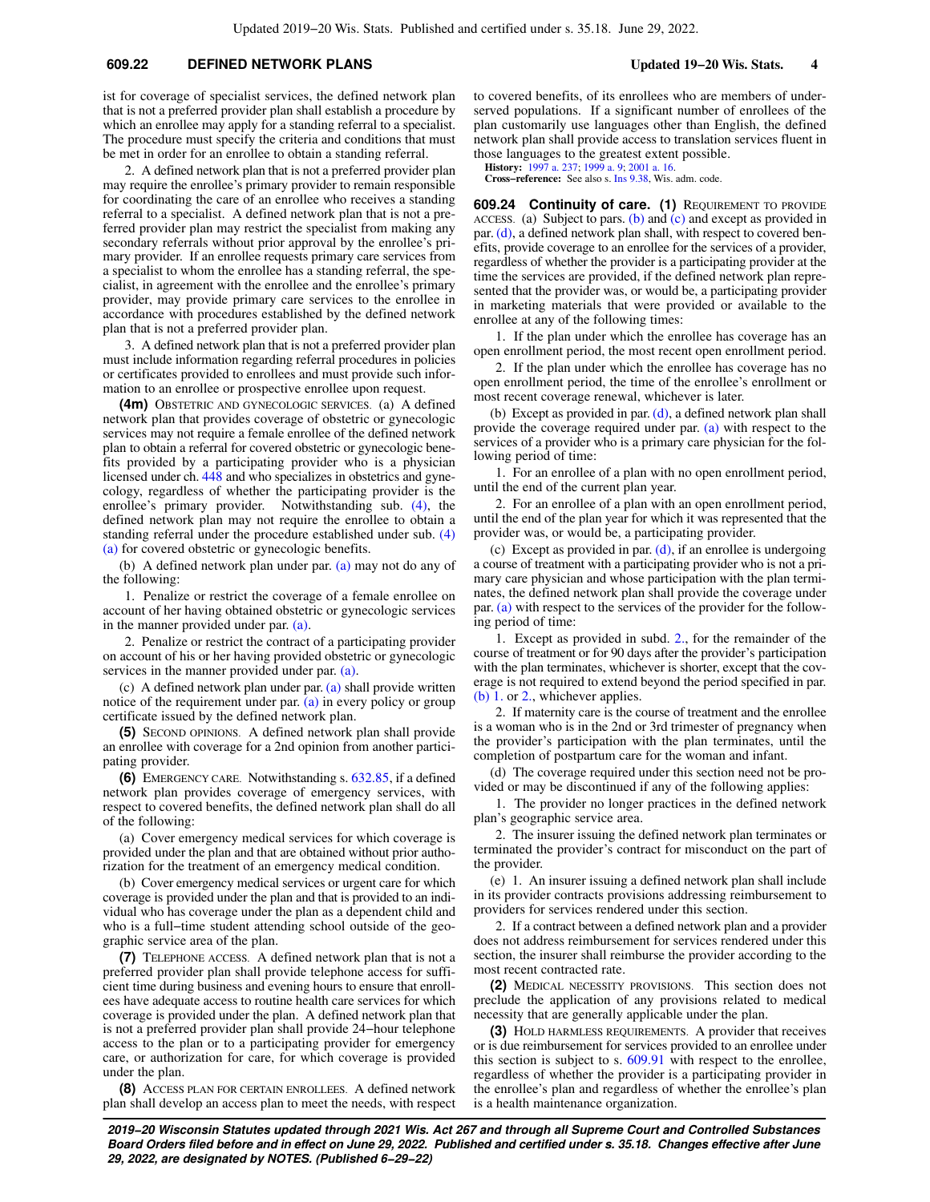### **609.22 DEFINED NETWORK PLANS Updated 19−20 Wis. Stats. 4**

ist for coverage of specialist services, the defined network plan that is not a preferred provider plan shall establish a procedure by which an enrollee may apply for a standing referral to a specialist. The procedure must specify the criteria and conditions that must be met in order for an enrollee to obtain a standing referral.

2. A defined network plan that is not a preferred provider plan may require the enrollee's primary provider to remain responsible for coordinating the care of an enrollee who receives a standing referral to a specialist. A defined network plan that is not a preferred provider plan may restrict the specialist from making any secondary referrals without prior approval by the enrollee's primary provider. If an enrollee requests primary care services from a specialist to whom the enrollee has a standing referral, the specialist, in agreement with the enrollee and the enrollee's primary provider, may provide primary care services to the enrollee in accordance with procedures established by the defined network plan that is not a preferred provider plan.

3. A defined network plan that is not a preferred provider plan must include information regarding referral procedures in policies or certificates provided to enrollees and must provide such information to an enrollee or prospective enrollee upon request.

**(4m)** OBSTETRIC AND GYNECOLOGIC SERVICES. (a) A defined network plan that provides coverage of obstetric or gynecologic services may not require a female enrollee of the defined network plan to obtain a referral for covered obstetric or gynecologic benefits provided by a participating provider who is a physician licensed under ch. [448](https://docs.legis.wisconsin.gov/document/statutes/ch.%20448) and who specializes in obstetrics and gynecology, regardless of whether the participating provider is the enrollee's primary provider. Notwithstanding sub. [\(4\)](https://docs.legis.wisconsin.gov/document/statutes/609.22(4)), the defined network plan may not require the enrollee to obtain a standing referral under the procedure established under sub. [\(4\)](https://docs.legis.wisconsin.gov/document/statutes/609.22(4)(a)) [\(a\)](https://docs.legis.wisconsin.gov/document/statutes/609.22(4)(a)) for covered obstetric or gynecologic benefits.

(b) A defined network plan under par. [\(a\)](https://docs.legis.wisconsin.gov/document/statutes/609.22(4m)(a)) may not do any of the following:

1. Penalize or restrict the coverage of a female enrollee on account of her having obtained obstetric or gynecologic services in the manner provided under par. [\(a\).](https://docs.legis.wisconsin.gov/document/statutes/609.22(4m)(a))

2. Penalize or restrict the contract of a participating provider on account of his or her having provided obstetric or gynecologic services in the manner provided under par. [\(a\)](https://docs.legis.wisconsin.gov/document/statutes/609.22(4m)(a)).

(c) A defined network plan under par. [\(a\)](https://docs.legis.wisconsin.gov/document/statutes/609.22(4m)(a)) shall provide written notice of the requirement under par. [\(a\)](https://docs.legis.wisconsin.gov/document/statutes/609.22(4m)(a)) in every policy or group certificate issued by the defined network plan.

**(5)** SECOND OPINIONS. A defined network plan shall provide an enrollee with coverage for a 2nd opinion from another participating provider.

**(6)** EMERGENCY CARE. Notwithstanding s. [632.85](https://docs.legis.wisconsin.gov/document/statutes/632.85), if a defined network plan provides coverage of emergency services, with respect to covered benefits, the defined network plan shall do all of the following:

(a) Cover emergency medical services for which coverage is provided under the plan and that are obtained without prior authorization for the treatment of an emergency medical condition.

(b) Cover emergency medical services or urgent care for which coverage is provided under the plan and that is provided to an individual who has coverage under the plan as a dependent child and who is a full−time student attending school outside of the geographic service area of the plan.

**(7)** TELEPHONE ACCESS. A defined network plan that is not a preferred provider plan shall provide telephone access for sufficient time during business and evening hours to ensure that enrollees have adequate access to routine health care services for which coverage is provided under the plan. A defined network plan that is not a preferred provider plan shall provide 24−hour telephone access to the plan or to a participating provider for emergency care, or authorization for care, for which coverage is provided under the plan.

**(8)** ACCESS PLAN FOR CERTAIN ENROLLEES. A defined network plan shall develop an access plan to meet the needs, with respect to covered benefits, of its enrollees who are members of underserved populations. If a significant number of enrollees of the plan customarily use languages other than English, the defined network plan shall provide access to translation services fluent in those languages to the greatest extent possible.

**History:** [1997 a. 237;](https://docs.legis.wisconsin.gov/document/acts/1997/237) [1999 a. 9](https://docs.legis.wisconsin.gov/document/acts/1999/9); [2001 a. 16](https://docs.legis.wisconsin.gov/document/acts/2001/16).

**Cross−reference:** See also s. [Ins 9.38](https://docs.legis.wisconsin.gov/document/administrativecode/Ins%209.38), Wis. adm. code.

**609.24 Continuity of care. (1)** REQUIREMENT TO PROVIDE ACCESS. (a) Subject to pars. [\(b\)](https://docs.legis.wisconsin.gov/document/statutes/609.24(1)(b)) and [\(c\)](https://docs.legis.wisconsin.gov/document/statutes/609.24(1)(c)) and except as provided in par. [\(d\)](https://docs.legis.wisconsin.gov/document/statutes/609.24(1)(d)), a defined network plan shall, with respect to covered benefits, provide coverage to an enrollee for the services of a provider, regardless of whether the provider is a participating provider at the time the services are provided, if the defined network plan represented that the provider was, or would be, a participating provider in marketing materials that were provided or available to the enrollee at any of the following times:

1. If the plan under which the enrollee has coverage has an open enrollment period, the most recent open enrollment period.

2. If the plan under which the enrollee has coverage has no open enrollment period, the time of the enrollee's enrollment or most recent coverage renewal, whichever is later.

(b) Except as provided in par. [\(d\)](https://docs.legis.wisconsin.gov/document/statutes/609.24(1)(d)), a defined network plan shall provide the coverage required under par. [\(a\)](https://docs.legis.wisconsin.gov/document/statutes/609.24(1)(a)) with respect to the services of a provider who is a primary care physician for the following period of time:

1. For an enrollee of a plan with no open enrollment period, until the end of the current plan year.

2. For an enrollee of a plan with an open enrollment period, until the end of the plan year for which it was represented that the provider was, or would be, a participating provider.

(c) Except as provided in par. [\(d\)](https://docs.legis.wisconsin.gov/document/statutes/609.24(1)(d)), if an enrollee is undergoing a course of treatment with a participating provider who is not a primary care physician and whose participation with the plan terminates, the defined network plan shall provide the coverage under par. [\(a\)](https://docs.legis.wisconsin.gov/document/statutes/609.24(1)(a)) with respect to the services of the provider for the following period of time:

1. Except as provided in subd. [2.](https://docs.legis.wisconsin.gov/document/statutes/609.24(1)(c)2.), for the remainder of the course of treatment or for 90 days after the provider's participation with the plan terminates, whichever is shorter, except that the coverage is not required to extend beyond the period specified in par. [\(b\) 1.](https://docs.legis.wisconsin.gov/document/statutes/609.24(1)(b)1.) or [2.](https://docs.legis.wisconsin.gov/document/statutes/609.24(1)(b)2.), whichever applies.

2. If maternity care is the course of treatment and the enrollee is a woman who is in the 2nd or 3rd trimester of pregnancy when the provider's participation with the plan terminates, until the completion of postpartum care for the woman and infant.

(d) The coverage required under this section need not be provided or may be discontinued if any of the following applies:

1. The provider no longer practices in the defined network plan's geographic service area.

2. The insurer issuing the defined network plan terminates or terminated the provider's contract for misconduct on the part of the provider.

(e) 1. An insurer issuing a defined network plan shall include in its provider contracts provisions addressing reimbursement to providers for services rendered under this section.

2. If a contract between a defined network plan and a provider does not address reimbursement for services rendered under this section, the insurer shall reimburse the provider according to the most recent contracted rate.

**(2)** MEDICAL NECESSITY PROVISIONS. This section does not preclude the application of any provisions related to medical necessity that are generally applicable under the plan.

**(3)** HOLD HARMLESS REQUIREMENTS. A provider that receives or is due reimbursement for services provided to an enrollee under this section is subject to s. [609.91](https://docs.legis.wisconsin.gov/document/statutes/609.91) with respect to the enrollee, regardless of whether the provider is a participating provider in the enrollee's plan and regardless of whether the enrollee's plan is a health maintenance organization.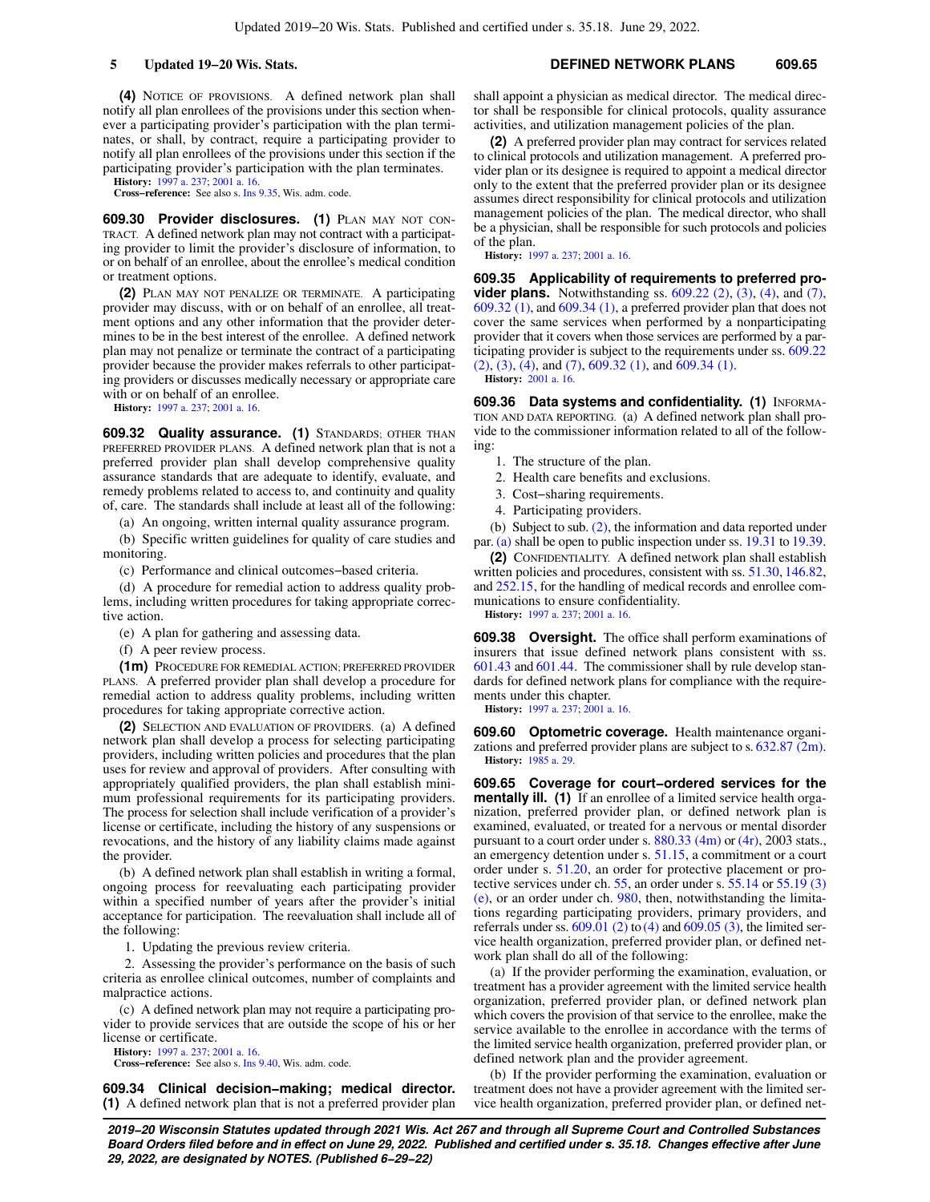**(4)** NOTICE OF PROVISIONS. A defined network plan shall notify all plan enrollees of the provisions under this section whenever a participating provider's participation with the plan terminates, or shall, by contract, require a participating provider to notify all plan enrollees of the provisions under this section if the participating provider's participation with the plan terminates.

**History:** [1997 a. 237](https://docs.legis.wisconsin.gov/document/acts/1997/237); [2001 a. 16.](https://docs.legis.wisconsin.gov/document/acts/2001/16) **Cross−reference:** See also s. [Ins 9.35,](https://docs.legis.wisconsin.gov/document/administrativecode/Ins%209.35) Wis. adm. code.

**609.30 Provider disclosures. (1)** PLAN MAY NOT CON-TRACT. A defined network plan may not contract with a participating provider to limit the provider's disclosure of information, to or on behalf of an enrollee, about the enrollee's medical condition or treatment options.

**(2)** PLAN MAY NOT PENALIZE OR TERMINATE. A participating provider may discuss, with or on behalf of an enrollee, all treatment options and any other information that the provider determines to be in the best interest of the enrollee. A defined network plan may not penalize or terminate the contract of a participating provider because the provider makes referrals to other participating providers or discusses medically necessary or appropriate care with or on behalf of an enrollee.

**History:** [1997 a. 237](https://docs.legis.wisconsin.gov/document/acts/1997/237); [2001 a. 16.](https://docs.legis.wisconsin.gov/document/acts/2001/16)

**609.32 Quality assurance. (1)** STANDARDS; OTHER THAN PREFERRED PROVIDER PLANS. A defined network plan that is not a preferred provider plan shall develop comprehensive quality assurance standards that are adequate to identify, evaluate, and remedy problems related to access to, and continuity and quality of, care. The standards shall include at least all of the following:

(a) An ongoing, written internal quality assurance program.

(b) Specific written guidelines for quality of care studies and monitoring.

(c) Performance and clinical outcomes−based criteria.

(d) A procedure for remedial action to address quality problems, including written procedures for taking appropriate corrective action.

(e) A plan for gathering and assessing data.

(f) A peer review process.

**(1m)** PROCEDURE FOR REMEDIAL ACTION; PREFERRED PROVIDER PLANS. A preferred provider plan shall develop a procedure for remedial action to address quality problems, including written procedures for taking appropriate corrective action.

**(2)** SELECTION AND EVALUATION OF PROVIDERS. (a) A defined network plan shall develop a process for selecting participating providers, including written policies and procedures that the plan uses for review and approval of providers. After consulting with appropriately qualified providers, the plan shall establish minimum professional requirements for its participating providers. The process for selection shall include verification of a provider's license or certificate, including the history of any suspensions or revocations, and the history of any liability claims made against the provider.

(b) A defined network plan shall establish in writing a formal, ongoing process for reevaluating each participating provider within a specified number of years after the provider's initial acceptance for participation. The reevaluation shall include all of the following:

1. Updating the previous review criteria.

2. Assessing the provider's performance on the basis of such criteria as enrollee clinical outcomes, number of complaints and malpractice actions.

(c) A defined network plan may not require a participating provider to provide services that are outside the scope of his or her license or certificate.

**History:** [1997 a. 237](https://docs.legis.wisconsin.gov/document/acts/1997/237); [2001 a. 16.](https://docs.legis.wisconsin.gov/document/acts/2001/16)

**Cross−reference:** See also s. [Ins 9.40,](https://docs.legis.wisconsin.gov/document/administrativecode/Ins%209.40) Wis. adm. code.

**609.34 Clinical decision−making; medical director. (1)** A defined network plan that is not a preferred provider plan shall appoint a physician as medical director. The medical director shall be responsible for clinical protocols, quality assurance activities, and utilization management policies of the plan.

**(2)** A preferred provider plan may contract for services related to clinical protocols and utilization management. A preferred provider plan or its designee is required to appoint a medical director only to the extent that the preferred provider plan or its designee assumes direct responsibility for clinical protocols and utilization management policies of the plan. The medical director, who shall be a physician, shall be responsible for such protocols and policies of the plan.

**History:** [1997 a. 237;](https://docs.legis.wisconsin.gov/document/acts/1997/237) [2001 a. 16.](https://docs.legis.wisconsin.gov/document/acts/2001/16)

**609.35 Applicability of requirements to preferred provider plans.** Notwithstanding ss. [609.22 \(2\)](https://docs.legis.wisconsin.gov/document/statutes/609.22(2)), [\(3\),](https://docs.legis.wisconsin.gov/document/statutes/609.22(3)) [\(4\)](https://docs.legis.wisconsin.gov/document/statutes/609.22(4)), and [\(7\),](https://docs.legis.wisconsin.gov/document/statutes/609.22(7)) [609.32 \(1\)](https://docs.legis.wisconsin.gov/document/statutes/609.32(1)), and [609.34 \(1\)](https://docs.legis.wisconsin.gov/document/statutes/609.34(1)), a preferred provider plan that does not cover the same services when performed by a nonparticipating provider that it covers when those services are performed by a participating provider is subject to the requirements under ss. [609.22](https://docs.legis.wisconsin.gov/document/statutes/609.22(2)) [\(2\),](https://docs.legis.wisconsin.gov/document/statutes/609.22(2)) [\(3\),](https://docs.legis.wisconsin.gov/document/statutes/609.22(3)) [\(4\),](https://docs.legis.wisconsin.gov/document/statutes/609.22(4)) and [\(7\)](https://docs.legis.wisconsin.gov/document/statutes/609.22(7)), [609.32 \(1\)](https://docs.legis.wisconsin.gov/document/statutes/609.32(1)), and [609.34 \(1\)](https://docs.legis.wisconsin.gov/document/statutes/609.34(1)).

**History:** [2001 a. 16](https://docs.legis.wisconsin.gov/document/acts/2001/16).

**609.36 Data systems and confidentiality. (1)** INFORMA-TION AND DATA REPORTING. (a) A defined network plan shall provide to the commissioner information related to all of the following:

- 1. The structure of the plan.
- 2. Health care benefits and exclusions.
- 3. Cost−sharing requirements.
- 4. Participating providers.

(b) Subject to sub. [\(2\)](https://docs.legis.wisconsin.gov/document/statutes/609.36(2)), the information and data reported under par. [\(a\)](https://docs.legis.wisconsin.gov/document/statutes/609.36(1)(a)) shall be open to public inspection under ss. [19.31](https://docs.legis.wisconsin.gov/document/statutes/19.31) to [19.39.](https://docs.legis.wisconsin.gov/document/statutes/19.39)

**(2)** CONFIDENTIALITY. A defined network plan shall establish written policies and procedures, consistent with ss. [51.30](https://docs.legis.wisconsin.gov/document/statutes/51.30), [146.82,](https://docs.legis.wisconsin.gov/document/statutes/146.82) and [252.15,](https://docs.legis.wisconsin.gov/document/statutes/252.15) for the handling of medical records and enrollee communications to ensure confidentiality.

**History:** [1997 a. 237;](https://docs.legis.wisconsin.gov/document/acts/1997/237) [2001 a. 16.](https://docs.legis.wisconsin.gov/document/acts/2001/16)

**609.38 Oversight.** The office shall perform examinations of insurers that issue defined network plans consistent with ss. [601.43](https://docs.legis.wisconsin.gov/document/statutes/601.43) and [601.44](https://docs.legis.wisconsin.gov/document/statutes/601.44). The commissioner shall by rule develop standards for defined network plans for compliance with the requirements under this chapter.

**History:** [1997 a. 237;](https://docs.legis.wisconsin.gov/document/acts/1997/237) [2001 a. 16.](https://docs.legis.wisconsin.gov/document/acts/2001/16)

**609.60 Optometric coverage.** Health maintenance organizations and preferred provider plans are subject to s. [632.87 \(2m\).](https://docs.legis.wisconsin.gov/document/statutes/632.87(2m)) **History:** [1985 a. 29](https://docs.legis.wisconsin.gov/document/acts/1985/29).

**609.65 Coverage for court−ordered services for the mentally ill.** (1) If an enrollee of a limited service health organization, preferred provider plan, or defined network plan is examined, evaluated, or treated for a nervous or mental disorder pursuant to a court order under s. [880.33 \(4m\)](https://docs.legis.wisconsin.gov/document/statutes/2003/880.33(4m)) or [\(4r\),](https://docs.legis.wisconsin.gov/document/statutes/2003/880.33(4r)) 2003 stats., an emergency detention under s. [51.15](https://docs.legis.wisconsin.gov/document/statutes/51.15), a commitment or a court order under s. [51.20,](https://docs.legis.wisconsin.gov/document/statutes/51.20) an order for protective placement or protective services under ch. [55](https://docs.legis.wisconsin.gov/document/statutes/ch.%2055), an order under s. [55.14](https://docs.legis.wisconsin.gov/document/statutes/55.14) or [55.19 \(3\)](https://docs.legis.wisconsin.gov/document/statutes/55.19(3)(e)) [\(e\)](https://docs.legis.wisconsin.gov/document/statutes/55.19(3)(e)), or an order under ch. [980](https://docs.legis.wisconsin.gov/document/statutes/ch.%20980), then, notwithstanding the limitations regarding participating providers, primary providers, and referrals under ss.  $609.01$  (2) to [\(4\)](https://docs.legis.wisconsin.gov/document/statutes/609.01(4)) and  $609.05$  (3), the limited service health organization, preferred provider plan, or defined network plan shall do all of the following:

(a) If the provider performing the examination, evaluation, or treatment has a provider agreement with the limited service health organization, preferred provider plan, or defined network plan which covers the provision of that service to the enrollee, make the service available to the enrollee in accordance with the terms of the limited service health organization, preferred provider plan, or defined network plan and the provider agreement.

(b) If the provider performing the examination, evaluation or treatment does not have a provider agreement with the limited service health organization, preferred provider plan, or defined net-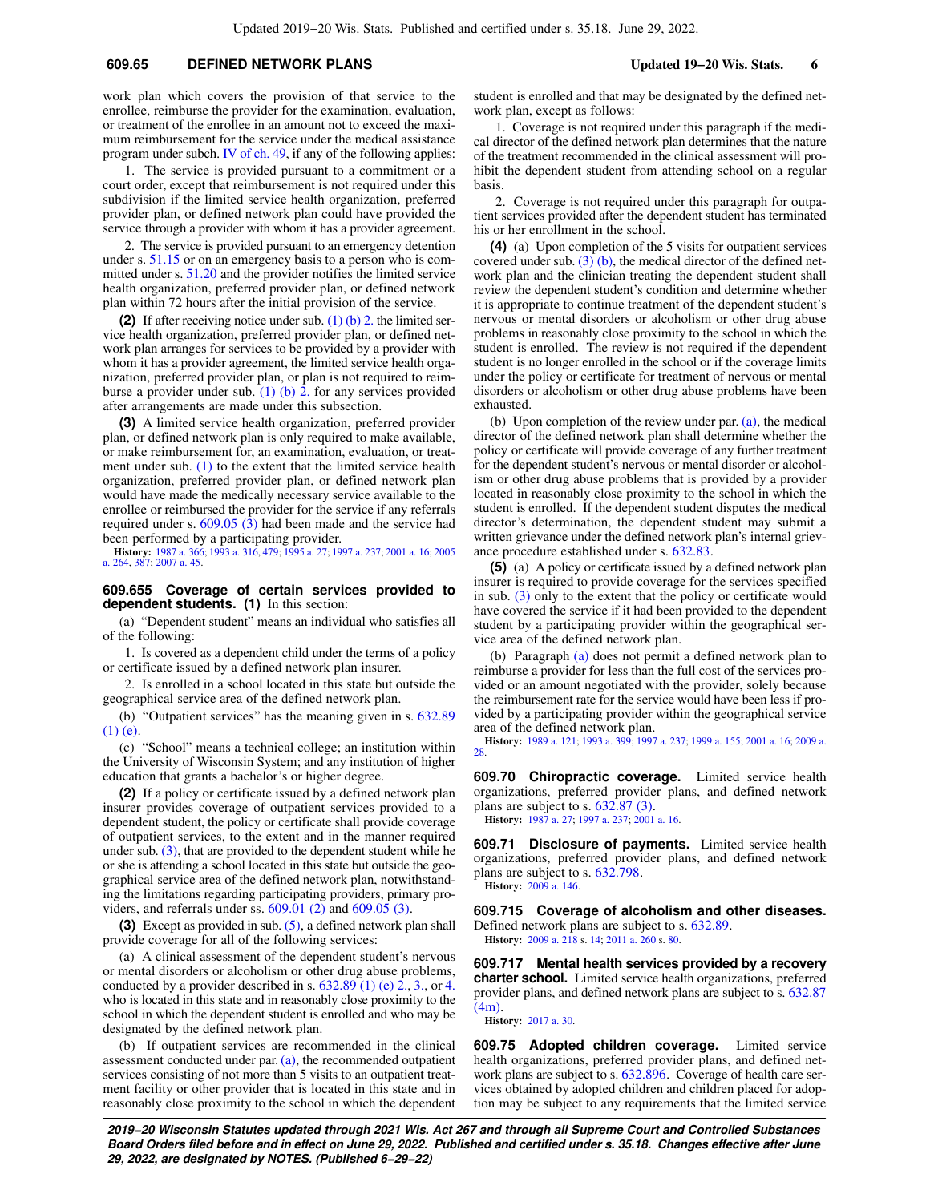#### **609.65 DEFINED NETWORK PLANS Updated 19−20 Wis. Stats. 6**

work plan which covers the provision of that service to the enrollee, reimburse the provider for the examination, evaluation, or treatment of the enrollee in an amount not to exceed the maximum reimbursement for the service under the medical assistance program under subch. [IV of ch. 49](https://docs.legis.wisconsin.gov/document/statutes/subch.%20IV%20of%20ch.%2049), if any of the following applies:

1. The service is provided pursuant to a commitment or a court order, except that reimbursement is not required under this subdivision if the limited service health organization, preferred provider plan, or defined network plan could have provided the service through a provider with whom it has a provider agreement.

2. The service is provided pursuant to an emergency detention under s. [51.15](https://docs.legis.wisconsin.gov/document/statutes/51.15) or on an emergency basis to a person who is committed under s. [51.20](https://docs.legis.wisconsin.gov/document/statutes/51.20) and the provider notifies the limited service health organization, preferred provider plan, or defined network plan within 72 hours after the initial provision of the service.

**(2)** If after receiving notice under sub. [\(1\) \(b\) 2.](https://docs.legis.wisconsin.gov/document/statutes/609.65(1)(b)2.) the limited service health organization, preferred provider plan, or defined network plan arranges for services to be provided by a provider with whom it has a provider agreement, the limited service health organization, preferred provider plan, or plan is not required to reimburse a provider under sub. (1) (b)  $\overline{2}$ . for any services provided after arrangements are made under this subsection.

**(3)** A limited service health organization, preferred provider plan, or defined network plan is only required to make available, or make reimbursement for, an examination, evaluation, or treatment under sub. [\(1\)](https://docs.legis.wisconsin.gov/document/statutes/609.65(1)) to the extent that the limited service health organization, preferred provider plan, or defined network plan would have made the medically necessary service available to the enrollee or reimbursed the provider for the service if any referrals required under s.  $609.05$  (3) had been made and the service had been performed by a participating provider.

**History:** [1987 a. 366;](https://docs.legis.wisconsin.gov/document/acts/1987/366) [1993 a. 316,](https://docs.legis.wisconsin.gov/document/acts/1993/316) [479;](https://docs.legis.wisconsin.gov/document/acts/1993/479) [1995 a. 27](https://docs.legis.wisconsin.gov/document/acts/1995/27); [1997 a. 237;](https://docs.legis.wisconsin.gov/document/acts/1997/237) [2001 a. 16;](https://docs.legis.wisconsin.gov/document/acts/2001/16) [2005](https://docs.legis.wisconsin.gov/document/acts/2005/264) [a. 264,](https://docs.legis.wisconsin.gov/document/acts/2005/264) [387;](https://docs.legis.wisconsin.gov/document/acts/2005/387) [2007 a. 45](https://docs.legis.wisconsin.gov/document/acts/2007/45).

**609.655 Coverage of certain services provided to dependent students. (1)** In this section:

(a) "Dependent student" means an individual who satisfies all of the following:

1. Is covered as a dependent child under the terms of a policy or certificate issued by a defined network plan insurer.

2. Is enrolled in a school located in this state but outside the geographical service area of the defined network plan.

(b) "Outpatient services" has the meaning given in s. [632.89](https://docs.legis.wisconsin.gov/document/statutes/632.89(1)(e)) [\(1\) \(e\).](https://docs.legis.wisconsin.gov/document/statutes/632.89(1)(e))

(c) "School" means a technical college; an institution within the University of Wisconsin System; and any institution of higher education that grants a bachelor's or higher degree.

**(2)** If a policy or certificate issued by a defined network plan insurer provides coverage of outpatient services provided to a dependent student, the policy or certificate shall provide coverage of outpatient services, to the extent and in the manner required under sub. [\(3\),](https://docs.legis.wisconsin.gov/document/statutes/609.655(3)) that are provided to the dependent student while he or she is attending a school located in this state but outside the geographical service area of the defined network plan, notwithstanding the limitations regarding participating providers, primary providers, and referrals under ss. [609.01 \(2\)](https://docs.legis.wisconsin.gov/document/statutes/609.01(2)) and [609.05 \(3\).](https://docs.legis.wisconsin.gov/document/statutes/609.05(3))

**(3)** Except as provided in sub. [\(5\),](https://docs.legis.wisconsin.gov/document/statutes/609.655(5)) a defined network plan shall provide coverage for all of the following services:

(a) A clinical assessment of the dependent student's nervous or mental disorders or alcoholism or other drug abuse problems, conducted by a provider described in s.  $632.89$  (1) (e)  $2., 3.,$  $2., 3.,$  $2., 3.,$  or [4.](https://docs.legis.wisconsin.gov/document/statutes/632.89(1)(e)4.) who is located in this state and in reasonably close proximity to the school in which the dependent student is enrolled and who may be designated by the defined network plan.

(b) If outpatient services are recommended in the clinical assessment conducted under par.  $(a)$ , the recommended outpatient services consisting of not more than 5 visits to an outpatient treatment facility or other provider that is located in this state and in reasonably close proximity to the school in which the dependent student is enrolled and that may be designated by the defined network plan, except as follows:

1. Coverage is not required under this paragraph if the medical director of the defined network plan determines that the nature of the treatment recommended in the clinical assessment will prohibit the dependent student from attending school on a regular basis.

2. Coverage is not required under this paragraph for outpatient services provided after the dependent student has terminated his or her enrollment in the school.

**(4)** (a) Upon completion of the 5 visits for outpatient services covered under sub.  $(3)$  (b), the medical director of the defined network plan and the clinician treating the dependent student shall review the dependent student's condition and determine whether it is appropriate to continue treatment of the dependent student's nervous or mental disorders or alcoholism or other drug abuse problems in reasonably close proximity to the school in which the student is enrolled. The review is not required if the dependent student is no longer enrolled in the school or if the coverage limits under the policy or certificate for treatment of nervous or mental disorders or alcoholism or other drug abuse problems have been exhausted.

(b) Upon completion of the review under par. [\(a\),](https://docs.legis.wisconsin.gov/document/statutes/609.655(4)(a)) the medical director of the defined network plan shall determine whether the policy or certificate will provide coverage of any further treatment for the dependent student's nervous or mental disorder or alcoholism or other drug abuse problems that is provided by a provider located in reasonably close proximity to the school in which the student is enrolled. If the dependent student disputes the medical director's determination, the dependent student may submit a written grievance under the defined network plan's internal grievance procedure established under s. [632.83.](https://docs.legis.wisconsin.gov/document/statutes/632.83)

**(5)** (a) A policy or certificate issued by a defined network plan insurer is required to provide coverage for the services specified in sub. [\(3\)](https://docs.legis.wisconsin.gov/document/statutes/609.655(3)) only to the extent that the policy or certificate would have covered the service if it had been provided to the dependent student by a participating provider within the geographical service area of the defined network plan.

(b) Paragraph [\(a\)](https://docs.legis.wisconsin.gov/document/statutes/609.655(5)(a)) does not permit a defined network plan to reimburse a provider for less than the full cost of the services provided or an amount negotiated with the provider, solely because the reimbursement rate for the service would have been less if provided by a participating provider within the geographical service area of the defined network plan.

**History:** [1989 a. 121;](https://docs.legis.wisconsin.gov/document/acts/1989/121) [1993 a. 399;](https://docs.legis.wisconsin.gov/document/acts/1993/399) [1997 a. 237;](https://docs.legis.wisconsin.gov/document/acts/1997/237) [1999 a. 155;](https://docs.legis.wisconsin.gov/document/acts/1999/155) [2001 a. 16](https://docs.legis.wisconsin.gov/document/acts/2001/16); [2009 a.](https://docs.legis.wisconsin.gov/document/acts/2009/28) [28](https://docs.legis.wisconsin.gov/document/acts/2009/28).

**609.70 Chiropractic coverage.** Limited service health organizations, preferred provider plans, and defined network plans are subject to s. [632.87 \(3\).](https://docs.legis.wisconsin.gov/document/statutes/632.87(3)) **History:** [1987 a. 27](https://docs.legis.wisconsin.gov/document/acts/1987/27); [1997 a. 237;](https://docs.legis.wisconsin.gov/document/acts/1997/237) [2001 a. 16.](https://docs.legis.wisconsin.gov/document/acts/2001/16)

**609.71 Disclosure of payments.** Limited service health organizations, preferred provider plans, and defined network plans are subject to s. [632.798](https://docs.legis.wisconsin.gov/document/statutes/632.798).

**History:** [2009 a. 146.](https://docs.legis.wisconsin.gov/document/acts/2009/146)

**609.715 Coverage of alcoholism and other diseases.** Defined network plans are subject to s. [632.89](https://docs.legis.wisconsin.gov/document/statutes/632.89). **History:** [2009 a. 218](https://docs.legis.wisconsin.gov/document/acts/2009/218) s. [14;](https://docs.legis.wisconsin.gov/document/acts/2009/218,%20s.%2014) [2011 a. 260](https://docs.legis.wisconsin.gov/document/acts/2011/260) s. [80](https://docs.legis.wisconsin.gov/document/acts/2011/260,%20s.%2080).

**609.717 Mental health services provided by a recovery charter school.** Limited service health organizations, preferred provider plans, and defined network plans are subject to s. [632.87](https://docs.legis.wisconsin.gov/document/statutes/632.87(4m)) [\(4m\).](https://docs.legis.wisconsin.gov/document/statutes/632.87(4m))

**History:** [2017 a. 30](https://docs.legis.wisconsin.gov/document/acts/2017/30).

**609.75 Adopted children coverage.** Limited service health organizations, preferred provider plans, and defined network plans are subject to s. [632.896.](https://docs.legis.wisconsin.gov/document/statutes/632.896) Coverage of health care services obtained by adopted children and children placed for adoption may be subject to any requirements that the limited service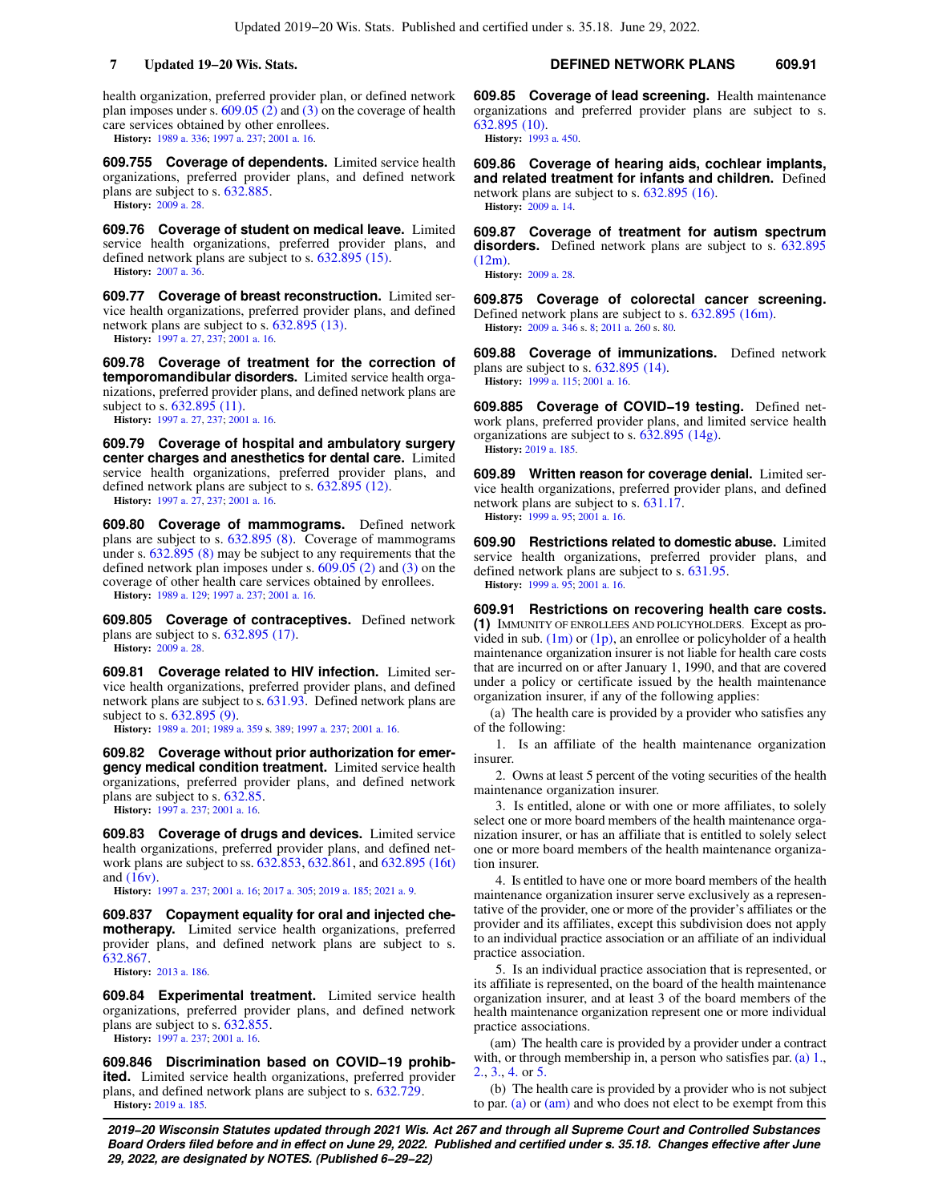health organization, preferred provider plan, or defined network plan imposes under s.  $609.05$  (2) and [\(3\)](https://docs.legis.wisconsin.gov/document/statutes/609.05(3)) on the coverage of health care services obtained by other enrollees. **History:** [1989 a. 336](https://docs.legis.wisconsin.gov/document/acts/1989/336); [1997 a. 237](https://docs.legis.wisconsin.gov/document/acts/1997/237); [2001 a. 16](https://docs.legis.wisconsin.gov/document/acts/2001/16).

**609.755 Coverage of dependents.** Limited service health organizations, preferred provider plans, and defined network plans are subject to s. [632.885](https://docs.legis.wisconsin.gov/document/statutes/632.885). **History:** [2009 a. 28.](https://docs.legis.wisconsin.gov/document/acts/2009/28)

**609.76 Coverage of student on medical leave.** Limited service health organizations, preferred provider plans, and defined network plans are subject to s. [632.895 \(15\).](https://docs.legis.wisconsin.gov/document/statutes/632.895(15)) **History:** [2007 a. 36.](https://docs.legis.wisconsin.gov/document/acts/2007/36)

**609.77 Coverage of breast reconstruction.** Limited service health organizations, preferred provider plans, and defined network plans are subject to s. [632.895 \(13\)](https://docs.legis.wisconsin.gov/document/statutes/632.895(13)). **History:** [1997 a. 27,](https://docs.legis.wisconsin.gov/document/acts/1997/27) [237;](https://docs.legis.wisconsin.gov/document/acts/1997/237) [2001 a. 16](https://docs.legis.wisconsin.gov/document/acts/2001/16).

**609.78 Coverage of treatment for the correction of temporomandibular disorders.** Limited service health organizations, preferred provider plans, and defined network plans are subject to s. [632.895 \(11\)](https://docs.legis.wisconsin.gov/document/statutes/632.895(11)).

**History:** [1997 a. 27,](https://docs.legis.wisconsin.gov/document/acts/1997/27) [237;](https://docs.legis.wisconsin.gov/document/acts/1997/237) [2001 a. 16](https://docs.legis.wisconsin.gov/document/acts/2001/16).

**609.79 Coverage of hospital and ambulatory surgery center charges and anesthetics for dental care.** Limited service health organizations, preferred provider plans, and defined network plans are subject to s. [632.895 \(12\).](https://docs.legis.wisconsin.gov/document/statutes/632.895(12)) **History:** [1997 a. 27,](https://docs.legis.wisconsin.gov/document/acts/1997/27) [237;](https://docs.legis.wisconsin.gov/document/acts/1997/237) [2001 a. 16](https://docs.legis.wisconsin.gov/document/acts/2001/16).

**609.80 Coverage of mammograms.** Defined network plans are subject to s. [632.895 \(8\).](https://docs.legis.wisconsin.gov/document/statutes/632.895(8)) Coverage of mammograms under s. [632.895 \(8\)](https://docs.legis.wisconsin.gov/document/statutes/632.895(8)) may be subject to any requirements that the defined network plan imposes under s. [609.05 \(2\)](https://docs.legis.wisconsin.gov/document/statutes/609.05(2)) and [\(3\)](https://docs.legis.wisconsin.gov/document/statutes/609.05(3)) on the coverage of other health care services obtained by enrollees.

**History:** [1989 a. 129](https://docs.legis.wisconsin.gov/document/acts/1989/129); [1997 a. 237](https://docs.legis.wisconsin.gov/document/acts/1997/237); [2001 a. 16](https://docs.legis.wisconsin.gov/document/acts/2001/16).

**609.805 Coverage of contraceptives.** Defined network plans are subject to s. [632.895 \(17\).](https://docs.legis.wisconsin.gov/document/statutes/632.895(17)) **History:** [2009 a. 28.](https://docs.legis.wisconsin.gov/document/acts/2009/28)

**609.81 Coverage related to HIV infection.** Limited service health organizations, preferred provider plans, and defined network plans are subject to s. [631.93.](https://docs.legis.wisconsin.gov/document/statutes/631.93) Defined network plans are subject to s. [632.895 \(9\)](https://docs.legis.wisconsin.gov/document/statutes/632.895(9)).

**History:** [1989 a. 201](https://docs.legis.wisconsin.gov/document/acts/1989/201); [1989 a. 359](https://docs.legis.wisconsin.gov/document/acts/1989/359) s. [389;](https://docs.legis.wisconsin.gov/document/acts/1989/359,%20s.%20389) [1997 a. 237](https://docs.legis.wisconsin.gov/document/acts/1997/237); [2001 a. 16](https://docs.legis.wisconsin.gov/document/acts/2001/16).

**609.82 Coverage without prior authorization for emergency medical condition treatment.** Limited service health organizations, preferred provider plans, and defined network plans are subject to s. [632.85.](https://docs.legis.wisconsin.gov/document/statutes/632.85)

**History:** [1997 a. 237](https://docs.legis.wisconsin.gov/document/acts/1997/237); [2001 a. 16.](https://docs.legis.wisconsin.gov/document/acts/2001/16)

**609.83 Coverage of drugs and devices.** Limited service health organizations, preferred provider plans, and defined network plans are subject to ss. [632.853,](https://docs.legis.wisconsin.gov/document/statutes/632.853) [632.861](https://docs.legis.wisconsin.gov/document/statutes/632.861), and [632.895 \(16t\)](https://docs.legis.wisconsin.gov/document/statutes/632.895(16t)) and [\(16v\).](https://docs.legis.wisconsin.gov/document/statutes/632.895(16v))

**History:** [1997 a. 237](https://docs.legis.wisconsin.gov/document/acts/1997/237); [2001 a. 16;](https://docs.legis.wisconsin.gov/document/acts/2001/16) [2017 a. 305](https://docs.legis.wisconsin.gov/document/acts/2017/305); [2019 a. 185;](https://docs.legis.wisconsin.gov/document/acts/2019/185) [2021 a. 9.](https://docs.legis.wisconsin.gov/document/acts/2021/9)

**609.837 Copayment equality for oral and injected chemotherapy.** Limited service health organizations, preferred provider plans, and defined network plans are subject to s. [632.867](https://docs.legis.wisconsin.gov/document/statutes/632.867).

**History:** [2013 a. 186](https://docs.legis.wisconsin.gov/document/acts/2013/186).

**609.84 Experimental treatment.** Limited service health organizations, preferred provider plans, and defined network plans are subject to s. [632.855](https://docs.legis.wisconsin.gov/document/statutes/632.855). **History:** [1997 a. 237](https://docs.legis.wisconsin.gov/document/acts/1997/237); [2001 a. 16.](https://docs.legis.wisconsin.gov/document/acts/2001/16)

**609.846 Discrimination based on COVID−19 prohibited.** Limited service health organizations, preferred provider plans, and defined network plans are subject to s. [632.729.](https://docs.legis.wisconsin.gov/document/statutes/632.729) **History:** [2019 a. 185.](https://docs.legis.wisconsin.gov/document/acts/2019/185)

**7 Updated 19−20 Wis. Stats. DEFINED NETWORK PLANS 609.91**

**609.85 Coverage of lead screening.** Health maintenance organizations and preferred provider plans are subject to s. [632.895 \(10\).](https://docs.legis.wisconsin.gov/document/statutes/632.895(10)) **History:** [1993 a. 450.](https://docs.legis.wisconsin.gov/document/acts/1993/450)

**609.86 Coverage of hearing aids, cochlear implants, and related treatment for infants and children.** Defined network plans are subject to s. [632.895 \(16\).](https://docs.legis.wisconsin.gov/document/statutes/632.895(16)) **History:** [2009 a. 14](https://docs.legis.wisconsin.gov/document/acts/2009/14).

**609.87 Coverage of treatment for autism spectrum disorders.** Defined network plans are subject to s. [632.895](https://docs.legis.wisconsin.gov/document/statutes/632.895(12m)) [\(12m\)](https://docs.legis.wisconsin.gov/document/statutes/632.895(12m)). **History:** [2009 a. 28](https://docs.legis.wisconsin.gov/document/acts/2009/28).

**609.875 Coverage of colorectal cancer screening.** Defined network plans are subject to s. [632.895 \(16m\)](https://docs.legis.wisconsin.gov/document/statutes/632.895(16m)). **History:** [2009 a. 346](https://docs.legis.wisconsin.gov/document/acts/2009/346) s. [8](https://docs.legis.wisconsin.gov/document/acts/2009/346,%20s.%208); [2011 a. 260](https://docs.legis.wisconsin.gov/document/acts/2011/260) s. [80.](https://docs.legis.wisconsin.gov/document/acts/2011/260,%20s.%2080)

**609.88 Coverage of immunizations.** Defined network plans are subject to s. [632.895 \(14\).](https://docs.legis.wisconsin.gov/document/statutes/632.895(14)) **History:** [1999 a. 115](https://docs.legis.wisconsin.gov/document/acts/1999/115); [2001 a. 16](https://docs.legis.wisconsin.gov/document/acts/2001/16).

**609.885 Coverage of COVID−19 testing.** Defined network plans, preferred provider plans, and limited service health organizations are subject to s. [632.895 \(14g\).](https://docs.legis.wisconsin.gov/document/statutes/632.895(14g)) **History:** [2019 a. 185.](https://docs.legis.wisconsin.gov/document/acts/2019/185)

**609.89 Written reason for coverage denial.** Limited service health organizations, preferred provider plans, and defined network plans are subject to s. [631.17.](https://docs.legis.wisconsin.gov/document/statutes/631.17) **History:** [1999 a. 95](https://docs.legis.wisconsin.gov/document/acts/1999/95); [2001 a. 16](https://docs.legis.wisconsin.gov/document/acts/2001/16).

**609.90 Restrictions related to domestic abuse.** Limited service health organizations, preferred provider plans, and defined network plans are subject to s. [631.95](https://docs.legis.wisconsin.gov/document/statutes/631.95). **History:** [1999 a. 95](https://docs.legis.wisconsin.gov/document/acts/1999/95); [2001 a. 16](https://docs.legis.wisconsin.gov/document/acts/2001/16).

**609.91 Restrictions on recovering health care costs. (1)** IMMUNITY OF ENROLLEES AND POLICYHOLDERS. Except as provided in sub.  $(1m)$  or  $(1p)$ , an enrollee or policyholder of a health maintenance organization insurer is not liable for health care costs that are incurred on or after January 1, 1990, and that are covered under a policy or certificate issued by the health maintenance organization insurer, if any of the following applies:

(a) The health care is provided by a provider who satisfies any of the following:

1. Is an affiliate of the health maintenance organization insurer.

2. Owns at least 5 percent of the voting securities of the health maintenance organization insurer.

3. Is entitled, alone or with one or more affiliates, to solely select one or more board members of the health maintenance organization insurer, or has an affiliate that is entitled to solely select one or more board members of the health maintenance organization insurer.

4. Is entitled to have one or more board members of the health maintenance organization insurer serve exclusively as a representative of the provider, one or more of the provider's affiliates or the provider and its affiliates, except this subdivision does not apply to an individual practice association or an affiliate of an individual practice association.

5. Is an individual practice association that is represented, or its affiliate is represented, on the board of the health maintenance organization insurer, and at least 3 of the board members of the health maintenance organization represent one or more individual practice associations.

(am) The health care is provided by a provider under a contract with, or through membership in, a person who satisfies par. [\(a\) 1.,](https://docs.legis.wisconsin.gov/document/statutes/609.91(1)(a)1.) [2.,](https://docs.legis.wisconsin.gov/document/statutes/609.91(1)(a)2.) [3.](https://docs.legis.wisconsin.gov/document/statutes/609.91(1)(a)3.), [4.](https://docs.legis.wisconsin.gov/document/statutes/609.91(1)(a)4.) or [5.](https://docs.legis.wisconsin.gov/document/statutes/609.91(1)(a)5.)

(b) The health care is provided by a provider who is not subject to par. [\(a\)](https://docs.legis.wisconsin.gov/document/statutes/609.91(1)(a)) or [\(am\)](https://docs.legis.wisconsin.gov/document/statutes/609.91(1)(am)) and who does not elect to be exempt from this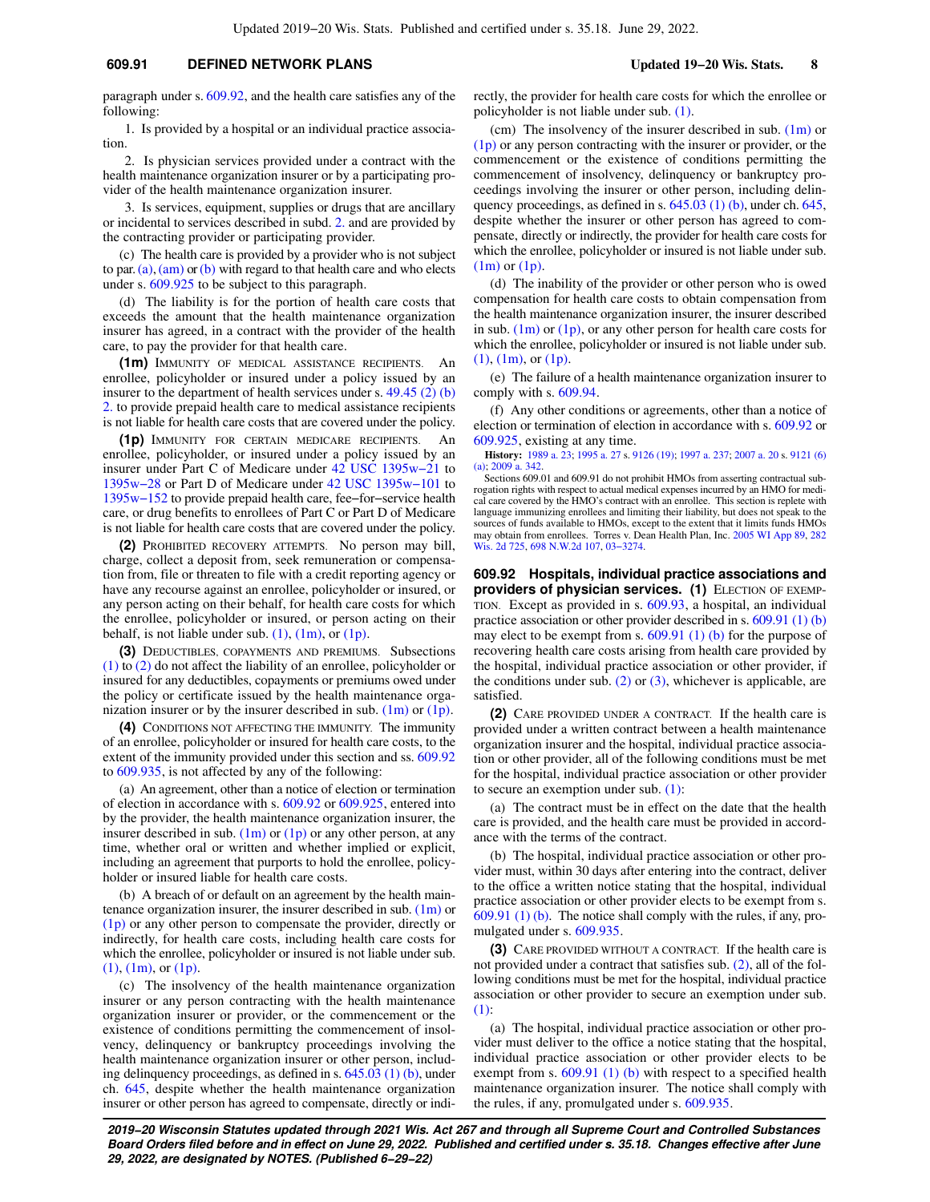# **609.91 DEFINED NETWORK PLANS Updated 19−20 Wis. Stats. 8**

paragraph under s. [609.92,](https://docs.legis.wisconsin.gov/document/statutes/609.92) and the health care satisfies any of the following:

1. Is provided by a hospital or an individual practice association.

2. Is physician services provided under a contract with the health maintenance organization insurer or by a participating provider of the health maintenance organization insurer.

3. Is services, equipment, supplies or drugs that are ancillary or incidental to services described in subd. [2.](https://docs.legis.wisconsin.gov/document/statutes/609.91(1)(b)2.) and are provided by the contracting provider or participating provider.

(c) The health care is provided by a provider who is not subject to par.  $(a)$ ,  $(am)$  or  $(b)$  with regard to that health care and who elects under s. [609.925](https://docs.legis.wisconsin.gov/document/statutes/609.925) to be subject to this paragraph.

(d) The liability is for the portion of health care costs that exceeds the amount that the health maintenance organization insurer has agreed, in a contract with the provider of the health care, to pay the provider for that health care.

**(1m)** IMMUNITY OF MEDICAL ASSISTANCE RECIPIENTS. An enrollee, policyholder or insured under a policy issued by an insurer to the department of health services under s. [49.45 \(2\) \(b\)](https://docs.legis.wisconsin.gov/document/statutes/49.45(2)(b)2.) [2.](https://docs.legis.wisconsin.gov/document/statutes/49.45(2)(b)2.) to provide prepaid health care to medical assistance recipients is not liable for health care costs that are covered under the policy.

**(1p)** IMMUNITY FOR CERTAIN MEDICARE RECIPIENTS. An enrollee, policyholder, or insured under a policy issued by an insurer under Part C of Medicare under [42 USC 1395w−21](https://docs.legis.wisconsin.gov/document/usc/42%20USC%201395w-21) to [1395w−28](https://docs.legis.wisconsin.gov/document/usc/42%20USC%201395w-28) or Part D of Medicare under [42 USC 1395w−101](https://docs.legis.wisconsin.gov/document/usc/42%20USC%201395w-101) to [1395w−152](https://docs.legis.wisconsin.gov/document/usc/42%20USC%201395w-152) to provide prepaid health care, fee−for−service health care, or drug benefits to enrollees of Part C or Part D of Medicare is not liable for health care costs that are covered under the policy.

**(2)** PROHIBITED RECOVERY ATTEMPTS. No person may bill, charge, collect a deposit from, seek remuneration or compensation from, file or threaten to file with a credit reporting agency or have any recourse against an enrollee, policyholder or insured, or any person acting on their behalf, for health care costs for which the enrollee, policyholder or insured, or person acting on their behalf, is not liable under sub.  $(1)$ ,  $(1m)$ , or  $(1p)$ .

**(3)** DEDUCTIBLES, COPAYMENTS AND PREMIUMS. Subsections [\(1\)](https://docs.legis.wisconsin.gov/document/statutes/609.91(1)) to [\(2\)](https://docs.legis.wisconsin.gov/document/statutes/609.91(2)) do not affect the liability of an enrollee, policyholder or insured for any deductibles, copayments or premiums owed under the policy or certificate issued by the health maintenance organization insurer or by the insurer described in sub.  $(1m)$  or  $(1p)$ .

**(4)** CONDITIONS NOT AFFECTING THE IMMUNITY. The immunity of an enrollee, policyholder or insured for health care costs, to the extent of the immunity provided under this section and ss. [609.92](https://docs.legis.wisconsin.gov/document/statutes/609.92) to [609.935,](https://docs.legis.wisconsin.gov/document/statutes/609.935) is not affected by any of the following:

(a) An agreement, other than a notice of election or termination of election in accordance with s. [609.92](https://docs.legis.wisconsin.gov/document/statutes/609.92) or [609.925,](https://docs.legis.wisconsin.gov/document/statutes/609.925) entered into by the provider, the health maintenance organization insurer, the insurer described in sub.  $(1m)$  or  $(1p)$  or any other person, at any time, whether oral or written and whether implied or explicit, including an agreement that purports to hold the enrollee, policyholder or insured liable for health care costs.

(b) A breach of or default on an agreement by the health maintenance organization insurer, the insurer described in sub.  $(1m)$  or [\(1p\)](https://docs.legis.wisconsin.gov/document/statutes/609.91(1p)) or any other person to compensate the provider, directly or indirectly, for health care costs, including health care costs for which the enrollee, policyholder or insured is not liable under sub. [\(1\)](https://docs.legis.wisconsin.gov/document/statutes/609.91(1)), [\(1m\)](https://docs.legis.wisconsin.gov/document/statutes/609.91(1m)), or [\(1p\).](https://docs.legis.wisconsin.gov/document/statutes/609.91(1p))

(c) The insolvency of the health maintenance organization insurer or any person contracting with the health maintenance organization insurer or provider, or the commencement or the existence of conditions permitting the commencement of insolvency, delinquency or bankruptcy proceedings involving the health maintenance organization insurer or other person, including delinquency proceedings, as defined in s. [645.03 \(1\) \(b\),](https://docs.legis.wisconsin.gov/document/statutes/645.03(1)(b)) under ch. [645](https://docs.legis.wisconsin.gov/document/statutes/ch.%20645), despite whether the health maintenance organization insurer or other person has agreed to compensate, directly or indirectly, the provider for health care costs for which the enrollee or policyholder is not liable under sub. [\(1\)](https://docs.legis.wisconsin.gov/document/statutes/609.91(1)).

(cm) The insolvency of the insurer described in sub.  $(1m)$  or [\(1p\)](https://docs.legis.wisconsin.gov/document/statutes/609.91(1p)) or any person contracting with the insurer or provider, or the commencement or the existence of conditions permitting the commencement of insolvency, delinquency or bankruptcy proceedings involving the insurer or other person, including delinquency proceedings, as defined in s. [645.03 \(1\) \(b\),](https://docs.legis.wisconsin.gov/document/statutes/645.03(1)(b)) under ch. [645,](https://docs.legis.wisconsin.gov/document/statutes/ch.%20645) despite whether the insurer or other person has agreed to compensate, directly or indirectly, the provider for health care costs for which the enrollee, policyholder or insured is not liable under sub. [\(1m\)](https://docs.legis.wisconsin.gov/document/statutes/609.91(1m)) or [\(1p\).](https://docs.legis.wisconsin.gov/document/statutes/609.91(1p))

(d) The inability of the provider or other person who is owed compensation for health care costs to obtain compensation from the health maintenance organization insurer, the insurer described in sub.  $(1m)$  or  $(1p)$ , or any other person for health care costs for which the enrollee, policyholder or insured is not liable under sub. [\(1\),](https://docs.legis.wisconsin.gov/document/statutes/609.91(1)) [\(1m\),](https://docs.legis.wisconsin.gov/document/statutes/609.91(1m)) or [\(1p\)](https://docs.legis.wisconsin.gov/document/statutes/609.91(1p)).

(e) The failure of a health maintenance organization insurer to comply with s. [609.94.](https://docs.legis.wisconsin.gov/document/statutes/609.94)

(f) Any other conditions or agreements, other than a notice of election or termination of election in accordance with s. [609.92](https://docs.legis.wisconsin.gov/document/statutes/609.92) or [609.925](https://docs.legis.wisconsin.gov/document/statutes/609.925), existing at any time.

**History:** [1989 a. 23](https://docs.legis.wisconsin.gov/document/acts/1989/23); [1995 a. 27](https://docs.legis.wisconsin.gov/document/acts/1995/27) s. [9126 \(19\)](https://docs.legis.wisconsin.gov/document/acts/1995/27,%20s.%209126); [1997 a. 237](https://docs.legis.wisconsin.gov/document/acts/1997/237); [2007 a. 20](https://docs.legis.wisconsin.gov/document/acts/2007/20) s. [9121 \(6\)](https://docs.legis.wisconsin.gov/document/acts/2007/20,%20s.%209121) [\(a\);](https://docs.legis.wisconsin.gov/document/acts/2007/20,%20s.%209121) [2009 a. 342](https://docs.legis.wisconsin.gov/document/acts/2009/342).

Sections 609.01 and 609.91 do not prohibit HMOs from asserting contractual subrogation rights with respect to actual medical expenses incurred by an HMO for medical care covered by the HMO's contract with an enrollee. This section is replete with language immunizing enrollees and limiting their liability, but does not speak to the sources of funds available to HMOs, except to the extent that it limits funds HMOs may obtain from enrollees. Torres v. Dean Health Plan, Inc. [2005 WI App 89](https://docs.legis.wisconsin.gov/document/courts/2005%20WI%20App%2089), [282](https://docs.legis.wisconsin.gov/document/courts/282%20Wis.%202d%20725) [Wis. 2d 725,](https://docs.legis.wisconsin.gov/document/courts/282%20Wis.%202d%20725) [698 N.W.2d 107](https://docs.legis.wisconsin.gov/document/courts/698%20N.W.2d%20107), [03−3274.](https://docs.legis.wisconsin.gov/document/wicourtofappeals/03-3274)

**609.92 Hospitals, individual practice associations and providers of physician services. (1)** ELECTION OF EXEMP-TION. Except as provided in s. [609.93](https://docs.legis.wisconsin.gov/document/statutes/609.93), a hospital, an individual practice association or other provider described in s. [609.91 \(1\) \(b\)](https://docs.legis.wisconsin.gov/document/statutes/609.91(1)(b)) may elect to be exempt from s. [609.91 \(1\) \(b\)](https://docs.legis.wisconsin.gov/document/statutes/609.91(1)(b)) for the purpose of recovering health care costs arising from health care provided by the hospital, individual practice association or other provider, if the conditions under sub.  $(2)$  or  $(3)$ , whichever is applicable, are satisfied.

**(2)** CARE PROVIDED UNDER A CONTRACT. If the health care is provided under a written contract between a health maintenance organization insurer and the hospital, individual practice association or other provider, all of the following conditions must be met for the hospital, individual practice association or other provider to secure an exemption under sub. [\(1\):](https://docs.legis.wisconsin.gov/document/statutes/609.92(1))

(a) The contract must be in effect on the date that the health care is provided, and the health care must be provided in accordance with the terms of the contract.

(b) The hospital, individual practice association or other provider must, within 30 days after entering into the contract, deliver to the office a written notice stating that the hospital, individual practice association or other provider elects to be exempt from s. [609.91 \(1\) \(b\)](https://docs.legis.wisconsin.gov/document/statutes/609.91(1)(b)). The notice shall comply with the rules, if any, promulgated under s. [609.935](https://docs.legis.wisconsin.gov/document/statutes/609.935).

**(3)** CARE PROVIDED WITHOUT A CONTRACT. If the health care is not provided under a contract that satisfies sub. [\(2\)](https://docs.legis.wisconsin.gov/document/statutes/609.92(2)), all of the following conditions must be met for the hospital, individual practice association or other provider to secure an exemption under sub. [\(1\):](https://docs.legis.wisconsin.gov/document/statutes/609.92(1))

(a) The hospital, individual practice association or other provider must deliver to the office a notice stating that the hospital, individual practice association or other provider elects to be exempt from s. [609.91 \(1\) \(b\)](https://docs.legis.wisconsin.gov/document/statutes/609.91(1)(b)) with respect to a specified health maintenance organization insurer. The notice shall comply with the rules, if any, promulgated under s. [609.935.](https://docs.legis.wisconsin.gov/document/statutes/609.935)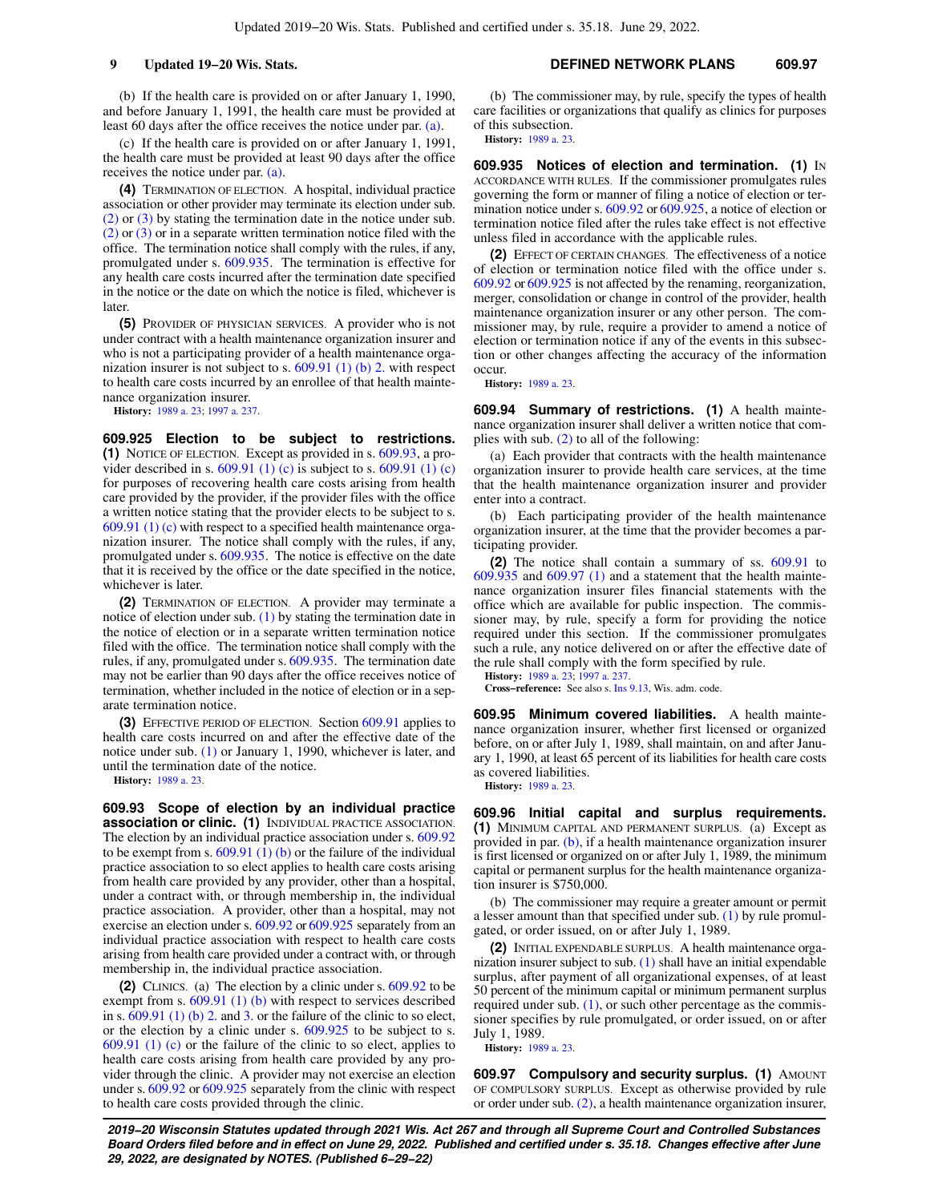(b) If the health care is provided on or after January 1, 1990, and before January 1, 1991, the health care must be provided at least 60 days after the office receives the notice under par. [\(a\)](https://docs.legis.wisconsin.gov/document/statutes/609.92(3)(a)).

(c) If the health care is provided on or after January 1, 1991, the health care must be provided at least 90 days after the office receives the notice under par. [\(a\).](https://docs.legis.wisconsin.gov/document/statutes/609.92(3)(a))

**(4)** TERMINATION OF ELECTION. A hospital, individual practice association or other provider may terminate its election under sub. [\(2\)](https://docs.legis.wisconsin.gov/document/statutes/609.92(2)) or [\(3\)](https://docs.legis.wisconsin.gov/document/statutes/609.92(3)) by stating the termination date in the notice under sub. [\(2\)](https://docs.legis.wisconsin.gov/document/statutes/609.92(2)) or [\(3\)](https://docs.legis.wisconsin.gov/document/statutes/609.92(3)) or in a separate written termination notice filed with the office. The termination notice shall comply with the rules, if any, promulgated under s. [609.935.](https://docs.legis.wisconsin.gov/document/statutes/609.935) The termination is effective for any health care costs incurred after the termination date specified in the notice or the date on which the notice is filed, whichever is later.

**(5)** PROVIDER OF PHYSICIAN SERVICES. A provider who is not under contract with a health maintenance organization insurer and who is not a participating provider of a health maintenance organization insurer is not subject to s. [609.91 \(1\) \(b\) 2.](https://docs.legis.wisconsin.gov/document/statutes/609.91(1)(b)2.) with respect to health care costs incurred by an enrollee of that health maintenance organization insurer.

**History:** [1989 a. 23;](https://docs.legis.wisconsin.gov/document/acts/1989/23) [1997 a. 237.](https://docs.legis.wisconsin.gov/document/acts/1997/237)

**609.925 Election to be subject to restrictions. (1)** NOTICE OF ELECTION. Except as provided in s. [609.93,](https://docs.legis.wisconsin.gov/document/statutes/609.93) a provider described in s.  $609.91(1)(c)$  is subject to s.  $609.91(1)(c)$ for purposes of recovering health care costs arising from health care provided by the provider, if the provider files with the office a written notice stating that the provider elects to be subject to s. [609.91 \(1\) \(c\)](https://docs.legis.wisconsin.gov/document/statutes/609.91(1)(c)) with respect to a specified health maintenance organization insurer. The notice shall comply with the rules, if any, promulgated under s. [609.935.](https://docs.legis.wisconsin.gov/document/statutes/609.935) The notice is effective on the date that it is received by the office or the date specified in the notice, whichever is later.

**(2)** TERMINATION OF ELECTION. A provider may terminate a notice of election under sub. [\(1\)](https://docs.legis.wisconsin.gov/document/statutes/609.925(1)) by stating the termination date in the notice of election or in a separate written termination notice filed with the office. The termination notice shall comply with the rules, if any, promulgated under s. [609.935](https://docs.legis.wisconsin.gov/document/statutes/609.935). The termination date may not be earlier than 90 days after the office receives notice of termination, whether included in the notice of election or in a separate termination notice.

**(3)** EFFECTIVE PERIOD OF ELECTION. Section [609.91](https://docs.legis.wisconsin.gov/document/statutes/609.91) applies to health care costs incurred on and after the effective date of the notice under sub. [\(1\)](https://docs.legis.wisconsin.gov/document/statutes/609.925(1)) or January 1, 1990, whichever is later, and until the termination date of the notice.

**History:** [1989 a. 23.](https://docs.legis.wisconsin.gov/document/acts/1989/23)

**609.93 Scope of election by an individual practice association or clinic. (1)** INDIVIDUAL PRACTICE ASSOCIATION. The election by an individual practice association under s. [609.92](https://docs.legis.wisconsin.gov/document/statutes/609.92) to be exempt from s.  $609.91$  (1) (b) or the failure of the individual practice association to so elect applies to health care costs arising from health care provided by any provider, other than a hospital, under a contract with, or through membership in, the individual practice association. A provider, other than a hospital, may not exercise an election under s. [609.92](https://docs.legis.wisconsin.gov/document/statutes/609.92) or [609.925](https://docs.legis.wisconsin.gov/document/statutes/609.925) separately from an individual practice association with respect to health care costs arising from health care provided under a contract with, or through membership in, the individual practice association.

**(2)** CLINICS. (a) The election by a clinic under s. [609.92](https://docs.legis.wisconsin.gov/document/statutes/609.92) to be exempt from s.  $609.91$  (1) (b) with respect to services described in s.  $609.91$  (1) (b) 2. and [3.](https://docs.legis.wisconsin.gov/document/statutes/609.91(1)(b)3.) or the failure of the clinic to so elect, or the election by a clinic under s. [609.925](https://docs.legis.wisconsin.gov/document/statutes/609.925) to be subject to s. [609.91 \(1\) \(c\)](https://docs.legis.wisconsin.gov/document/statutes/609.91(1)(c)) or the failure of the clinic to so elect, applies to health care costs arising from health care provided by any provider through the clinic. A provider may not exercise an election under s. [609.92](https://docs.legis.wisconsin.gov/document/statutes/609.92) or [609.925](https://docs.legis.wisconsin.gov/document/statutes/609.925) separately from the clinic with respect to health care costs provided through the clinic.

(b) The commissioner may, by rule, specify the types of health care facilities or organizations that qualify as clinics for purposes of this subsection. **History:** [1989 a. 23](https://docs.legis.wisconsin.gov/document/acts/1989/23).

**609.935 Notices of election and termination. (1)** IN ACCORDANCE WITH RULES. If the commissioner promulgates rules governing the form or manner of filing a notice of election or termination notice under s. [609.92](https://docs.legis.wisconsin.gov/document/statutes/609.92) or [609.925](https://docs.legis.wisconsin.gov/document/statutes/609.925), a notice of election or termination notice filed after the rules take effect is not effective unless filed in accordance with the applicable rules.

**(2)** EFFECT OF CERTAIN CHANGES. The effectiveness of a notice of election or termination notice filed with the office under s. [609.92](https://docs.legis.wisconsin.gov/document/statutes/609.92) or [609.925](https://docs.legis.wisconsin.gov/document/statutes/609.925) is not affected by the renaming, reorganization, merger, consolidation or change in control of the provider, health maintenance organization insurer or any other person. The commissioner may, by rule, require a provider to amend a notice of election or termination notice if any of the events in this subsection or other changes affecting the accuracy of the information occur.

**History:** [1989 a. 23](https://docs.legis.wisconsin.gov/document/acts/1989/23).

**609.94 Summary of restrictions. (1)** A health maintenance organization insurer shall deliver a written notice that complies with sub. [\(2\)](https://docs.legis.wisconsin.gov/document/statutes/609.94(2)) to all of the following:

(a) Each provider that contracts with the health maintenance organization insurer to provide health care services, at the time that the health maintenance organization insurer and provider enter into a contract.

(b) Each participating provider of the health maintenance organization insurer, at the time that the provider becomes a participating provider.

**(2)** The notice shall contain a summary of ss. [609.91](https://docs.legis.wisconsin.gov/document/statutes/609.91) to [609.935](https://docs.legis.wisconsin.gov/document/statutes/609.935) and [609.97 \(1\)](https://docs.legis.wisconsin.gov/document/statutes/609.97(1)) and a statement that the health maintenance organization insurer files financial statements with the office which are available for public inspection. The commissioner may, by rule, specify a form for providing the notice required under this section. If the commissioner promulgates such a rule, any notice delivered on or after the effective date of the rule shall comply with the form specified by rule.

**History:** [1989 a. 23](https://docs.legis.wisconsin.gov/document/acts/1989/23); [1997 a. 237.](https://docs.legis.wisconsin.gov/document/acts/1997/237) **Cross−reference:** See also s. [Ins 9.13](https://docs.legis.wisconsin.gov/document/administrativecode/Ins%209.13), Wis. adm. code.

**609.95 Minimum covered liabilities.** A health maintenance organization insurer, whether first licensed or organized before, on or after July 1, 1989, shall maintain, on and after January 1, 1990, at least 65 percent of its liabilities for health care costs as covered liabilities.

**History:** [1989 a. 23](https://docs.legis.wisconsin.gov/document/acts/1989/23).

**609.96 Initial capital and surplus requirements. (1)** MINIMUM CAPITAL AND PERMANENT SURPLUS. (a) Except as provided in par. [\(b\),](https://docs.legis.wisconsin.gov/document/statutes/609.96(1)(b)) if a health maintenance organization insurer is first licensed or organized on or after July 1, 1989, the minimum capital or permanent surplus for the health maintenance organization insurer is \$750,000.

(b) The commissioner may require a greater amount or permit a lesser amount than that specified under sub. [\(1\)](https://docs.legis.wisconsin.gov/document/statutes/609.96(1)) by rule promulgated, or order issued, on or after July 1, 1989.

**(2)** INITIAL EXPENDABLE SURPLUS. A health maintenance organization insurer subject to sub.  $(1)$  shall have an initial expendable surplus, after payment of all organizational expenses, of at least 50 percent of the minimum capital or minimum permanent surplus required under sub.  $(1)$ , or such other percentage as the commissioner specifies by rule promulgated, or order issued, on or after July 1, 1989.

**History:** [1989 a. 23](https://docs.legis.wisconsin.gov/document/acts/1989/23).

**609.97 Compulsory and security surplus. (1) AMOUNT** OF COMPULSORY SURPLUS. Except as otherwise provided by rule or order under sub. [\(2\),](https://docs.legis.wisconsin.gov/document/statutes/609.97(2)) a health maintenance organization insurer,